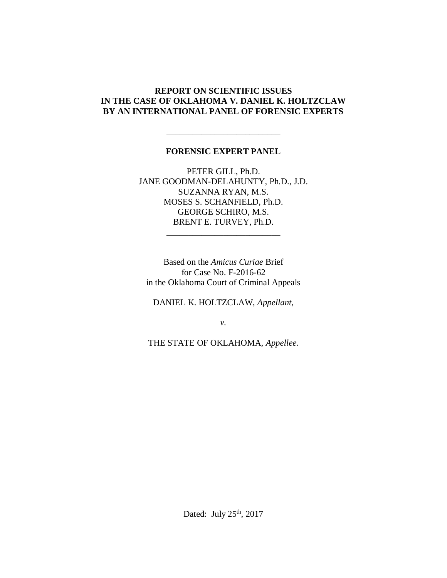### **REPORT ON SCIENTIFIC ISSUES IN THE CASE OF OKLAHOMA V. DANIEL K. HOLTZCLAW BY AN INTERNATIONAL PANEL OF FORENSIC EXPERTS**

### **FORENSIC EXPERT PANEL**

\_\_\_\_\_\_\_\_\_\_\_\_\_\_\_\_\_\_\_\_\_\_\_\_\_\_

PETER GILL, Ph.D. JANE GOODMAN-DELAHUNTY, Ph.D., J.D. SUZANNA RYAN, M.S. MOSES S. SCHANFIELD, Ph.D. GEORGE SCHIRO, M.S. BRENT E. TURVEY, Ph.D.

\_\_\_\_\_\_\_\_\_\_\_\_\_\_\_\_\_\_\_\_\_\_\_\_\_\_

Based on the *Amicus Curiae* Brief for Case No. F-2016-62 in the Oklahoma Court of Criminal Appeals

DANIEL K. HOLTZCLAW, *Appellant,*

*v.*

THE STATE OF OKLAHOMA, *Appellee.*

Dated: July  $25<sup>th</sup>$ , 2017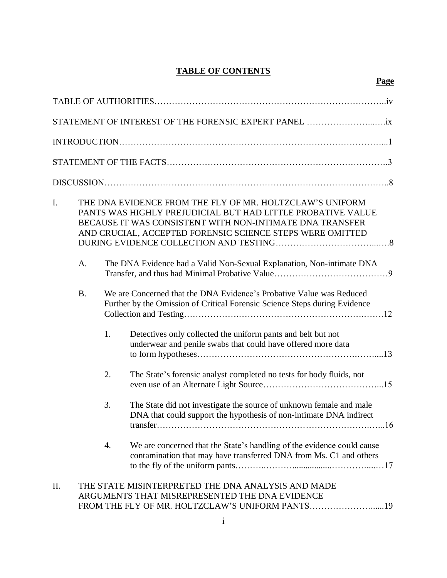# **TABLE OF CONTENTS**

| I. |    | THE DNA EVIDENCE FROM THE FLY OF MR. HOLTZCLAW'S UNIFORM<br>PANTS WAS HIGHLY PREJUDICIAL BUT HAD LITTLE PROBATIVE VALUE<br>BECAUSE IT WAS CONSISTENT WITH NON-INTIMATE DNA TRANSFER<br>AND CRUCIAL, ACCEPTED FORENSIC SCIENCE STEPS WERE OMITTED |  |
|----|----|--------------------------------------------------------------------------------------------------------------------------------------------------------------------------------------------------------------------------------------------------|--|
|    | A. | The DNA Evidence had a Valid Non-Sexual Explanation, Non-intimate DNA                                                                                                                                                                            |  |

| В. | We are Concerned that the DNA Evidence's Probative Value was Reduced       |
|----|----------------------------------------------------------------------------|
|    | Further by the Omission of Critical Forensic Science Steps during Evidence |
|    |                                                                            |

| $\pm$ | Detectives only collected the uniform pants and belt but not |
|-------|--------------------------------------------------------------|
|       | underwear and penile swabs that could have offered more data |
|       |                                                              |

- 2. The State's forensic analyst completed no tests for body fluids, not even use of an Alternate Light Source…………………………………...15
- 3. The State did not investigate the source of unknown female and male DNA that could support the hypothesis of non-intimate DNA indirect transfer……………………………………………………………….…...16
- 4. We are concerned that the State's handling of the evidence could cause contamination that may have transferred DNA from Ms. C1 and others to the fly of the uniform pants………..………..................…………....…17

# II. THE STATE MISINTERPRETED THE DNA ANALYSIS AND MADE ARGUMENTS THAT MISREPRESENTED THE DNA EVIDENCE FROM THE FLY OF MR. HOLTZCLAW'S UNIFORM PANTS…………………......19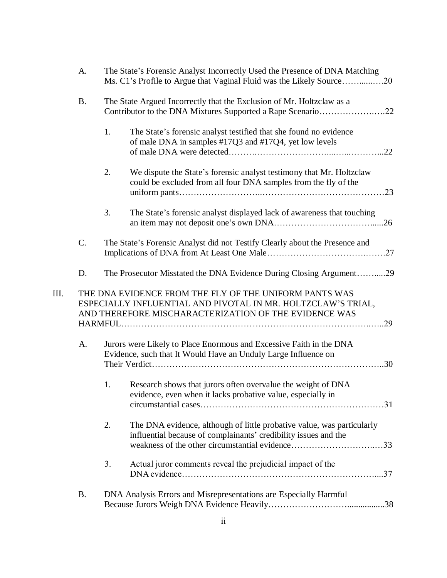| A.        |    | The State's Forensic Analyst Incorrectly Used the Presence of DNA Matching<br>Ms. C1's Profile to Argue that Vaginal Fluid was the Likely Source20                                     |
|-----------|----|----------------------------------------------------------------------------------------------------------------------------------------------------------------------------------------|
| <b>B.</b> |    | The State Argued Incorrectly that the Exclusion of Mr. Holtzclaw as a<br>Contributor to the DNA Mixtures Supported a Rape Scenario22                                                   |
|           | 1. | The State's forensic analyst testified that she found no evidence<br>of male DNA in samples #17Q3 and #17Q4, yet low levels                                                            |
|           | 2. | We dispute the State's forensic analyst testimony that Mr. Holtzclaw<br>could be excluded from all four DNA samples from the fly of the                                                |
|           | 3. | The State's forensic analyst displayed lack of awareness that touching                                                                                                                 |
| C.        |    | The State's Forensic Analyst did not Testify Clearly about the Presence and                                                                                                            |
| D.        |    | The Prosecutor Misstated the DNA Evidence During Closing Argument29                                                                                                                    |
| III.      |    | THE DNA EVIDENCE FROM THE FLY OF THE UNIFORM PANTS WAS<br>ESPECIALLY INFLUENTIAL AND PIVOTAL IN MR. HOLTZCLAW'S TRIAL,<br>AND THEREFORE MISCHARACTERIZATION OF THE EVIDENCE WAS<br>.29 |
| A.        |    | Jurors were Likely to Place Enormous and Excessive Faith in the DNA<br>Evidence, such that It Would Have an Unduly Large Influence on                                                  |
|           | 1. | Research shows that jurors often overvalue the weight of DNA<br>evidence, even when it lacks probative value, especially in                                                            |
|           | 2. | The DNA evidence, although of little probative value, was particularly<br>influential because of complainants' credibility issues and the                                              |
|           | 3. | Actual juror comments reveal the prejudicial impact of the                                                                                                                             |
| <b>B.</b> |    | DNA Analysis Errors and Misrepresentations are Especially Harmful                                                                                                                      |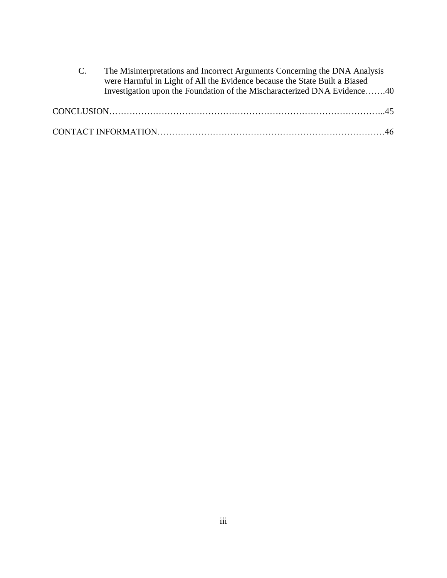| The Misinterpretations and Incorrect Arguments Concerning the DNA Analysis |
|----------------------------------------------------------------------------|
| were Harmful in Light of All the Evidence because the State Built a Biased |
| Investigation upon the Foundation of the Mischaracterized DNA Evidence40   |
|                                                                            |
|                                                                            |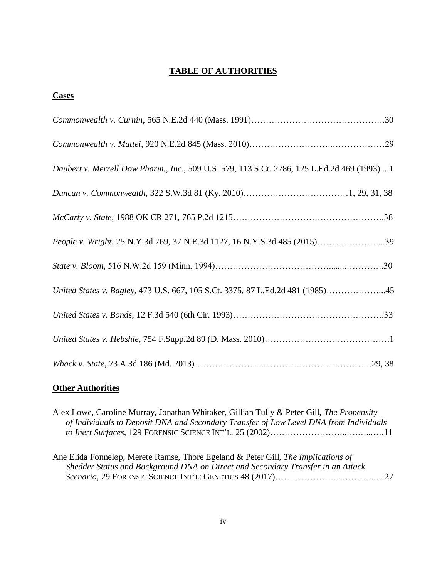# **TABLE OF AUTHORITIES**

| <b>Uases</b> |  |
|--------------|--|
|              |  |
|              |  |

| Daubert v. Merrell Dow Pharm., Inc., 509 U.S. 579, 113 S.Ct. 2786, 125 L.Ed.2d 469 (1993)1 |
|--------------------------------------------------------------------------------------------|
|                                                                                            |
|                                                                                            |
| People v. Wright, 25 N.Y.3d 769, 37 N.E.3d 1127, 16 N.Y.S.3d 485 (2015)39                  |
|                                                                                            |
| United States v. Bagley, 473 U.S. 667, 105 S.Ct. 3375, 87 L.Ed.2d 481 (1985)45             |
|                                                                                            |
|                                                                                            |
|                                                                                            |

# **Other Authorities**

| Alex Lowe, Caroline Murray, Jonathan Whitaker, Gillian Tully & Peter Gill, The Propensity |  |
|-------------------------------------------------------------------------------------------|--|
| of Individuals to Deposit DNA and Secondary Transfer of Low Level DNA from Individuals    |  |
|                                                                                           |  |
|                                                                                           |  |
| Ane Elida Fonneløp, Merete Ramse, Thore Egeland & Peter Gill, The Implications of         |  |
| Shedder Status and Background DNA on Direct and Secondary Transfer in an Attack           |  |
|                                                                                           |  |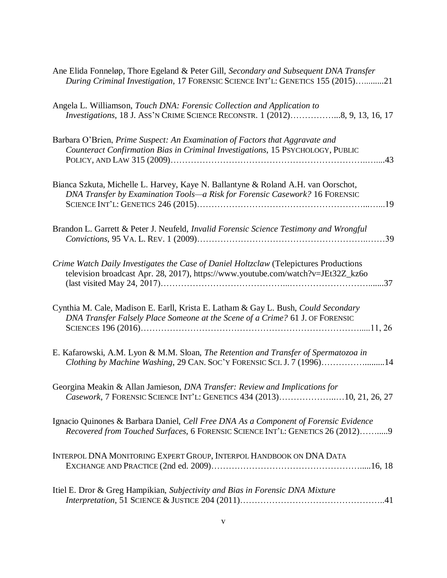| Ane Elida Fonneløp, Thore Egeland & Peter Gill, Secondary and Subsequent DNA Transfer<br>During Criminal Investigation, 17 FORENSIC SCIENCE INT'L: GENETICS 155 (2015)21  |
|---------------------------------------------------------------------------------------------------------------------------------------------------------------------------|
| Angela L. Williamson, Touch DNA: Forensic Collection and Application to<br><i>Investigations</i> , 18 J. ASS'N CRIME SCIENCE RECONSTR. 1 (2012)8, 9, 13, 16, 17           |
| Barbara O'Brien, Prime Suspect: An Examination of Factors that Aggravate and<br>Counteract Confirmation Bias in Criminal Investigations, 15 PSYCHOLOGY, PUBLIC            |
| Bianca Szkuta, Michelle L. Harvey, Kaye N. Ballantyne & Roland A.H. van Oorschot,<br>DNA Transfer by Examination Tools-a Risk for Forensic Casework? 16 FORENSIC          |
| Brandon L. Garrett & Peter J. Neufeld, Invalid Forensic Science Testimony and Wrongful                                                                                    |
| Crime Watch Daily Investigates the Case of Daniel Holtzclaw (Telepictures Productions<br>television broadcast Apr. 28, 2017), https://www.youtube.com/watch?v=JEt32Z_kz6o |
| Cynthia M. Cale, Madison E. Earll, Krista E. Latham & Gay L. Bush, Could Secondary<br>DNA Transfer Falsely Place Someone at the Scene of a Crime? 61 J. OF FORENSIC       |
| E. Kafarowski, A.M. Lyon & M.M. Sloan, The Retention and Transfer of Spermatozoa in<br>Clothing by Machine Washing, 29 CAN. SOC'Y FORENSIC SCI. J. 7 (1996)14             |
| Georgina Meakin & Allan Jamieson, DNA Transfer: Review and Implications for<br>Casework, 7 FORENSIC SCIENCE INT'L: GENETICS 434 (2013)10, 21, 26, 27                      |
| Ignacio Quinones & Barbara Daniel, Cell Free DNA As a Component of Forensic Evidence<br>Recovered from Touched Surfaces, 6 FORENSIC SCIENCE INT'L: GENETICS 26 (2012)9    |
| INTERPOL DNA MONITORING EXPERT GROUP, INTERPOL HANDBOOK ON DNA DATA                                                                                                       |
| Itiel E. Dror & Greg Hampikian, Subjectivity and Bias in Forensic DNA Mixture                                                                                             |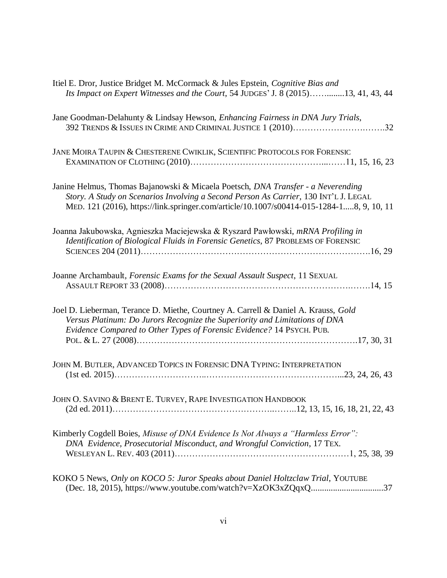| Itiel E. Dror, Justice Bridget M. McCormack & Jules Epstein, Cognitive Bias and<br>Its Impact on Expert Witnesses and the Court, 54 JUDGES' J. 8 (2015)13, 41, 43, 44                                                                                                |
|----------------------------------------------------------------------------------------------------------------------------------------------------------------------------------------------------------------------------------------------------------------------|
| Jane Goodman-Delahunty & Lindsay Hewson, Enhancing Fairness in DNA Jury Trials,<br>392 TRENDS & ISSUES IN CRIME AND CRIMINAL JUSTICE 1 (2010)32                                                                                                                      |
| JANE MOIRA TAUPIN & CHESTERENE CWIKLIK, SCIENTIFIC PROTOCOLS FOR FORENSIC                                                                                                                                                                                            |
| Janine Helmus, Thomas Bajanowski & Micaela Poetsch, DNA Transfer - a Neverending<br>Story. A Study on Scenarios Involving a Second Person As Carrier, 130 INT'L J. LEGAL<br>MED. 121 (2016), https://link.springer.com/article/10.1007/s00414-015-1284-18, 9, 10, 11 |
| Joanna Jakubowska, Agnieszka Maciejewska & Ryszard Pawłowski, mRNA Profiling in<br>Identification of Biological Fluids in Forensic Genetics, 87 PROBLEMS OF FORENSIC                                                                                                 |
| Joanne Archambault, Forensic Exams for the Sexual Assault Suspect, 11 SEXUAL                                                                                                                                                                                         |
| Joel D. Lieberman, Terance D. Miethe, Courtney A. Carrell & Daniel A. Krauss, Gold<br>Versus Platinum: Do Jurors Recognize the Superiority and Limitations of DNA<br>Evidence Compared to Other Types of Forensic Evidence? 14 PSYCH. PUB.                           |
| JOHN M. BUTLER, ADVANCED TOPICS IN FORENSIC DNA TYPING: INTERPRETATION                                                                                                                                                                                               |
| JOHN O. SAVINO & BRENT E. TURVEY, RAPE INVESTIGATION HANDBOOK                                                                                                                                                                                                        |
| Kimberly Cogdell Boies, Misuse of DNA Evidence Is Not Always a "Harmless Error":<br>DNA Evidence, Prosecutorial Misconduct, and Wrongful Conviction, 17 TEX.                                                                                                         |
| KOKO 5 News, Only on KOCO 5: Juror Speaks about Daniel Holtzclaw Trial, YOUTUBE                                                                                                                                                                                      |

(Dec. 18, 2015), https://www.youtube.com/watch?v=XzOK3xZQqxQ.................................37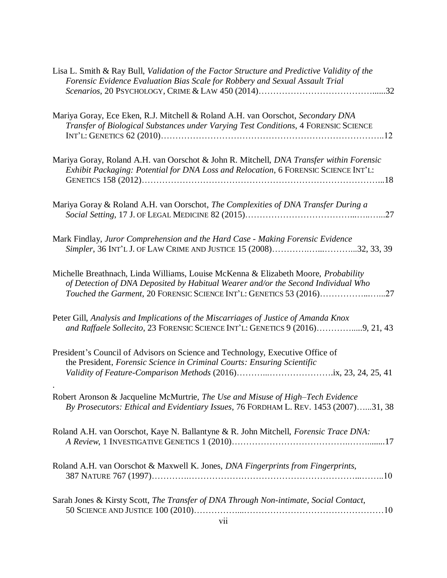| Lisa L. Smith & Ray Bull, Validation of the Factor Structure and Predictive Validity of the<br>Forensic Evidence Evaluation Bias Scale for Robbery and Sexual Assault Trial                                                                     |
|-------------------------------------------------------------------------------------------------------------------------------------------------------------------------------------------------------------------------------------------------|
|                                                                                                                                                                                                                                                 |
| Mariya Goray, Ece Eken, R.J. Mitchell & Roland A.H. van Oorschot, Secondary DNA<br>Transfer of Biological Substances under Varying Test Conditions, 4 FORENSIC SCIENCE                                                                          |
| Mariya Goray, Roland A.H. van Oorschot & John R. Mitchell, DNA Transfer within Forensic<br>Exhibit Packaging: Potential for DNA Loss and Relocation, 6 FORENSIC SCIENCE INT'L:                                                                  |
| Mariya Goray & Roland A.H. van Oorschot, The Complexities of DNA Transfer During a                                                                                                                                                              |
| Mark Findlay, Juror Comprehension and the Hard Case - Making Forensic Evidence<br>Simpler, 36 INT'L J. OF LAW CRIME AND JUSTICE 15 (2008)32, 33, 39                                                                                             |
| Michelle Breathnach, Linda Williams, Louise McKenna & Elizabeth Moore, Probability<br>of Detection of DNA Deposited by Habitual Wearer and/or the Second Individual Who<br>Touched the Garment, 20 FORENSIC SCIENCE INT'L: GENETICS 53 (2016)27 |
| Peter Gill, Analysis and Implications of the Miscarriages of Justice of Amanda Knox<br>and Raffaele Sollecito, 23 FORENSIC SCIENCE INT'L: GENETICS 9 (2016)9, 21, 43                                                                            |
| President's Council of Advisors on Science and Technology, Executive Office of<br>the President, Forensic Science in Criminal Courts: Ensuring Scientific                                                                                       |
| Robert Aronson & Jacqueline McMurtrie, The Use and Misuse of High-Tech Evidence<br>By Prosecutors: Ethical and Evidentiary Issues, 76 FORDHAM L. REV. 1453 (2007)31, 38                                                                         |
| Roland A.H. van Oorschot, Kaye N. Ballantyne & R. John Mitchell, Forensic Trace DNA:                                                                                                                                                            |
| Roland A.H. van Oorschot & Maxwell K. Jones, DNA Fingerprints from Fingerprints,                                                                                                                                                                |
| Sarah Jones & Kirsty Scott, The Transfer of DNA Through Non-intimate, Social Contact,                                                                                                                                                           |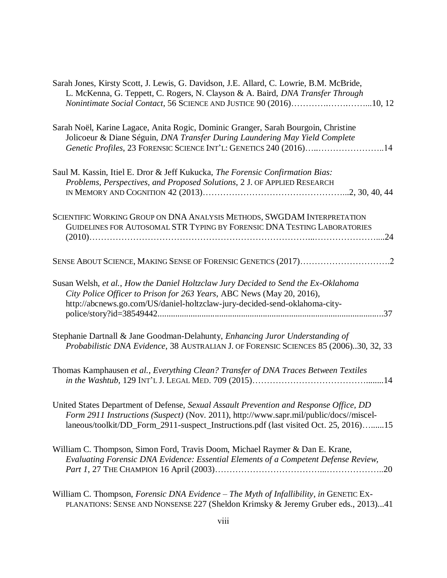| Sarah Jones, Kirsty Scott, J. Lewis, G. Davidson, J.E. Allard, C. Lowrie, B.M. McBride,<br>L. McKenna, G. Teppett, C. Rogers, N. Clayson & A. Baird, DNA Transfer Through<br>Nonintimate Social Contact, 56 SCIENCE AND JUSTICE 90 (2016)10, 12                          |
|--------------------------------------------------------------------------------------------------------------------------------------------------------------------------------------------------------------------------------------------------------------------------|
| Sarah Noël, Karine Lagace, Anita Rogic, Dominic Granger, Sarah Bourgoin, Christine<br>Jolicoeur & Diane Séguin, DNA Transfer During Laundering May Yield Complete<br>Genetic Profiles, 23 FORENSIC SCIENCE INT'L: GENETICS 240 (2016)14                                  |
| Saul M. Kassin, Itiel E. Dror & Jeff Kukucka, The Forensic Confirmation Bias:<br>Problems, Perspectives, and Proposed Solutions, 2 J. OF APPLIED RESEARCH                                                                                                                |
| SCIENTIFIC WORKING GROUP ON DNA ANALYSIS METHODS, SWGDAM INTERPRETATION<br>GUIDELINES FOR AUTOSOMAL STR TYPING BY FORENSIC DNA TESTING LABORATORIES                                                                                                                      |
|                                                                                                                                                                                                                                                                          |
| Susan Welsh, et al., How the Daniel Holtzclaw Jury Decided to Send the Ex-Oklahoma<br>City Police Officer to Prison for 263 Years, ABC News (May 20, 2016),<br>http://abcnews.go.com/US/daniel-holtzclaw-jury-decided-send-oklahoma-city-                                |
| Stephanie Dartnall & Jane Goodman-Delahunty, Enhancing Juror Understanding of<br>Probabilistic DNA Evidence, 38 AUSTRALIAN J. OF FORENSIC SCIENCES 85 (2006)30, 32, 33                                                                                                   |
| Thomas Kamphausen et al., Everything Clean? Transfer of DNA Traces Between Textiles                                                                                                                                                                                      |
| United States Department of Defense, Sexual Assault Prevention and Response Office, DD<br>Form 2911 Instructions (Suspect) (Nov. 2011), http://www.sapr.mil/public/docs//miscel-<br>laneous/toolkit/DD_Form_2911-suspect_Instructions.pdf (last visited Oct. 25, 2016)15 |
| William C. Thompson, Simon Ford, Travis Doom, Michael Raymer & Dan E. Krane,<br>Evaluating Forensic DNA Evidence: Essential Elements of a Competent Defense Review,                                                                                                      |
|                                                                                                                                                                                                                                                                          |

William C. Thompson, *Forensic DNA Evidence – The Myth of Infallibility*, *in* GENETIC EX-PLANATIONS: SENSE AND NONSENSE 227 (Sheldon Krimsky & Jeremy Gruber eds., 2013)...41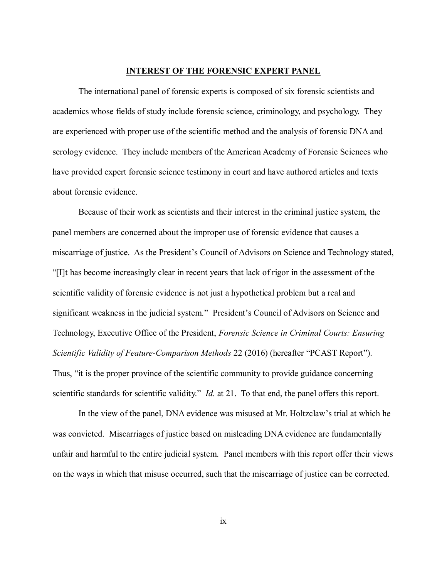#### **INTEREST OF THE FORENSIC EXPERT PANEL**

The international panel of forensic experts is composed of six forensic scientists and academics whose fields of study include forensic science, criminology, and psychology. They are experienced with proper use of the scientific method and the analysis of forensic DNA and serology evidence. They include members of the American Academy of Forensic Sciences who have provided expert forensic science testimony in court and have authored articles and texts about forensic evidence.

Because of their work as scientists and their interest in the criminal justice system, the panel members are concerned about the improper use of forensic evidence that causes a miscarriage of justice. As the President's Council of Advisors on Science and Technology stated, "[I]t has become increasingly clear in recent years that lack of rigor in the assessment of the scientific validity of forensic evidence is not just a hypothetical problem but a real and significant weakness in the judicial system." President's Council of Advisors on Science and Technology, Executive Office of the President, *Forensic Science in Criminal Courts: Ensuring Scientific Validity of Feature-Comparison Methods* 22 (2016) (hereafter "PCAST Report"). Thus, "it is the proper province of the scientific community to provide guidance concerning scientific standards for scientific validity." *Id.* at 21. To that end, the panel offers this report.

In the view of the panel, DNA evidence was misused at Mr. Holtzclaw's trial at which he was convicted. Miscarriages of justice based on misleading DNA evidence are fundamentally unfair and harmful to the entire judicial system. Panel members with this report offer their views on the ways in which that misuse occurred, such that the miscarriage of justice can be corrected.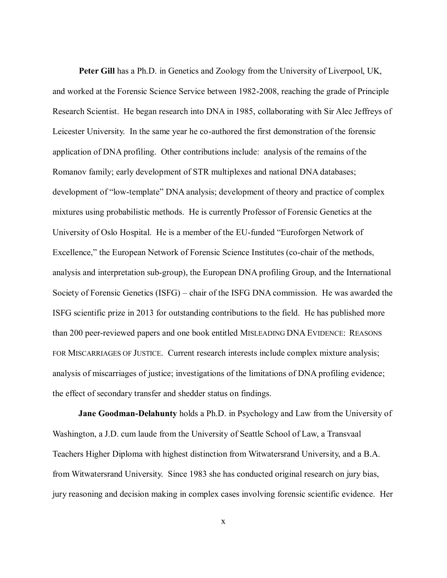**Peter Gill** has a Ph.D. in Genetics and Zoology from the University of Liverpool, UK, and worked at the Forensic Science Service between 1982-2008, reaching the grade of Principle Research Scientist. He began research into DNA in 1985, collaborating with Sir Alec Jeffreys of Leicester University. In the same year he co-authored the first demonstration of the forensic application of DNA profiling. Other contributions include: analysis of the remains of the Romanov family; early development of STR multiplexes and national DNA databases; development of "low-template" DNA analysis; development of theory and practice of complex mixtures using probabilistic methods. He is currently Professor of Forensic Genetics at the University of Oslo Hospital. He is a member of the EU-funded "Euroforgen Network of Excellence," the European Network of Forensic Science Institutes (co-chair of the methods, analysis and interpretation sub-group), the European DNA profiling Group, and the International Society of Forensic Genetics (ISFG) – chair of the ISFG DNA commission. He was awarded the ISFG scientific prize in 2013 for outstanding contributions to the field. He has published more than 200 peer-reviewed papers and one book entitled MISLEADING DNA EVIDENCE: REASONS FOR MISCARRIAGES OF JUSTICE. Current research interests include complex mixture analysis; analysis of miscarriages of justice; investigations of the limitations of DNA profiling evidence; the effect of secondary transfer and shedder status on findings.

**Jane Goodman-Delahunty** holds a Ph.D. in Psychology and Law from the University of Washington, a J.D. cum laude from the University of Seattle School of Law, a Transvaal Teachers Higher Diploma with highest distinction from Witwatersrand University, and a B.A. from Witwatersrand University. Since 1983 she has conducted original research on jury bias, jury reasoning and decision making in complex cases involving forensic scientific evidence. Her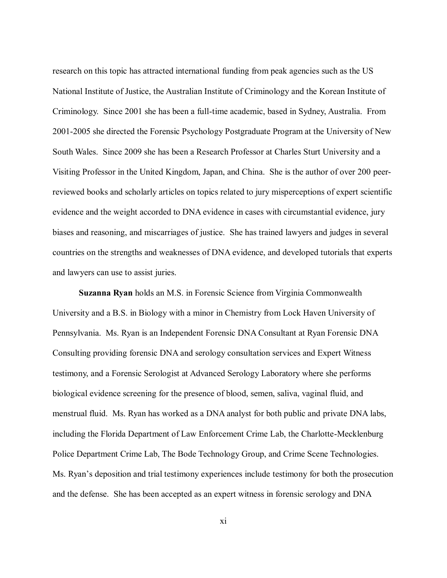research on this topic has attracted international funding from peak agencies such as the US National Institute of Justice, the Australian Institute of Criminology and the Korean Institute of Criminology. Since 2001 she has been a full-time academic, based in Sydney, Australia. From 2001-2005 she directed the Forensic Psychology Postgraduate Program at the University of New South Wales. Since 2009 she has been a Research Professor at Charles Sturt University and a Visiting Professor in the United Kingdom, Japan, and China. She is the author of over 200 peerreviewed books and scholarly articles on topics related to jury misperceptions of expert scientific evidence and the weight accorded to DNA evidence in cases with circumstantial evidence, jury biases and reasoning, and miscarriages of justice. She has trained lawyers and judges in several countries on the strengths and weaknesses of DNA evidence, and developed tutorials that experts and lawyers can use to assist juries.

**Suzanna Ryan** holds an M.S. in Forensic Science from Virginia Commonwealth University and a B.S. in Biology with a minor in Chemistry from Lock Haven University of Pennsylvania. Ms. Ryan is an Independent Forensic DNA Consultant at Ryan Forensic DNA Consulting providing forensic DNA and serology consultation services and Expert Witness testimony, and a Forensic Serologist at Advanced Serology Laboratory where she performs biological evidence screening for the presence of blood, semen, saliva, vaginal fluid, and menstrual fluid. Ms. Ryan has worked as a DNA analyst for both public and private DNA labs, including the Florida Department of Law Enforcement Crime Lab, the Charlotte-Mecklenburg Police Department Crime Lab, The Bode Technology Group, and Crime Scene Technologies. Ms. Ryan's deposition and trial testimony experiences include testimony for both the prosecution and the defense. She has been accepted as an expert witness in forensic serology and DNA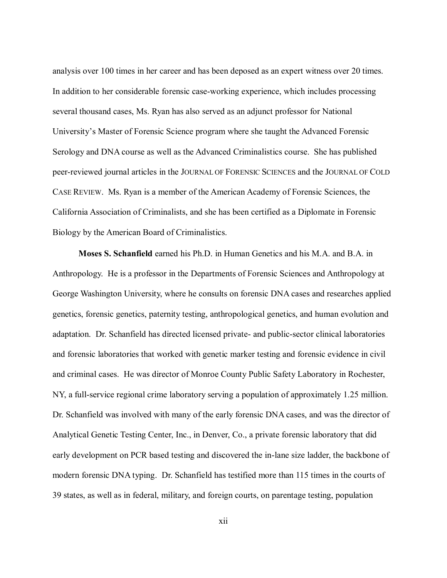analysis over 100 times in her career and has been deposed as an expert witness over 20 times. In addition to her considerable forensic case-working experience, which includes processing several thousand cases, Ms. Ryan has also served as an adjunct professor for National University's Master of Forensic Science program where she taught the Advanced Forensic Serology and DNA course as well as the Advanced Criminalistics course. She has published peer-reviewed journal articles in the JOURNAL OF FORENSIC SCIENCES and the JOURNAL OF COLD CASE REVIEW. Ms. Ryan is a member of the American Academy of Forensic Sciences, the California Association of Criminalists, and she has been certified as a Diplomate in Forensic Biology by the American Board of Criminalistics.

**Moses S. Schanfield** earned his Ph.D. in Human Genetics and his M.A. and B.A. in Anthropology. He is a professor in the Departments of Forensic Sciences and Anthropology at George Washington University, where he consults on forensic DNA cases and researches applied genetics, forensic genetics, paternity testing, anthropological genetics, and human evolution and adaptation. Dr. Schanfield has directed licensed private- and public-sector clinical laboratories and forensic laboratories that worked with genetic marker testing and forensic evidence in civil and criminal cases. He was director of Monroe County Public Safety Laboratory in Rochester, NY, a full-service regional crime laboratory serving a population of approximately 1.25 million. Dr. Schanfield was involved with many of the early forensic DNA cases, and was the director of Analytical Genetic Testing Center, Inc., in Denver, Co., a private forensic laboratory that did early development on PCR based testing and discovered the in-lane size ladder, the backbone of modern forensic DNA typing. Dr. Schanfield has testified more than 115 times in the courts of 39 states, as well as in federal, military, and foreign courts, on parentage testing, population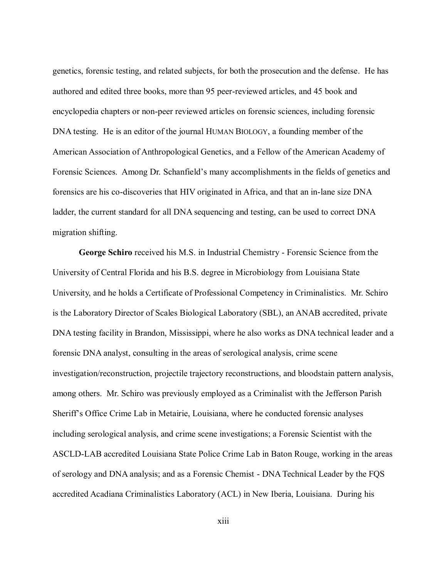genetics, forensic testing, and related subjects, for both the prosecution and the defense. He has authored and edited three books, more than 95 peer-reviewed articles, and 45 book and encyclopedia chapters or non-peer reviewed articles on forensic sciences, including forensic DNA testing. He is an editor of the journal HUMAN BIOLOGY, a founding member of the American Association of Anthropological Genetics, and a Fellow of the American Academy of Forensic Sciences. Among Dr. Schanfield's many accomplishments in the fields of genetics and forensics are his co-discoveries that HIV originated in Africa, and that an in-lane size DNA ladder, the current standard for all DNA sequencing and testing, can be used to correct DNA migration shifting.

**George Schiro** received his M.S. in Industrial Chemistry - Forensic Science from the University of Central Florida and his B.S. degree in Microbiology from Louisiana State University, and he holds a Certificate of Professional Competency in Criminalistics. Mr. Schiro is the Laboratory Director of Scales Biological Laboratory (SBL), an ANAB accredited, private DNA testing facility in Brandon, Mississippi, where he also works as DNA technical leader and a forensic DNA analyst, consulting in the areas of serological analysis, crime scene investigation/reconstruction, projectile trajectory reconstructions, and bloodstain pattern analysis, among others. Mr. Schiro was previously employed as a Criminalist with the Jefferson Parish Sheriff's Office Crime Lab in Metairie, Louisiana, where he conducted forensic analyses including serological analysis, and crime scene investigations; a Forensic Scientist with the ASCLD-LAB accredited Louisiana State Police Crime Lab in Baton Rouge, working in the areas of serology and DNA analysis; and as a Forensic Chemist - DNA Technical Leader by the FQS accredited Acadiana Criminalistics Laboratory (ACL) in New Iberia, Louisiana. During his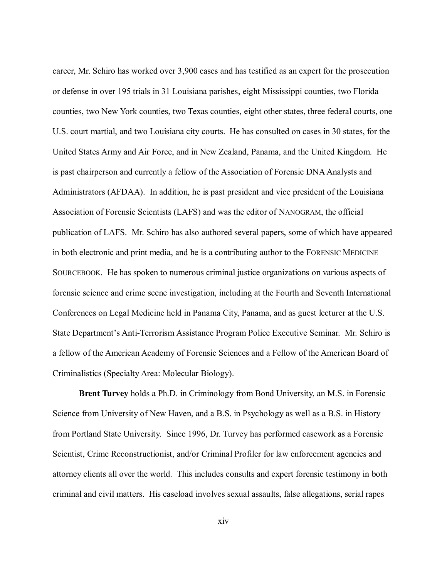career, Mr. Schiro has worked over 3,900 cases and has testified as an expert for the prosecution or defense in over 195 trials in 31 Louisiana parishes, eight Mississippi counties, two Florida counties, two New York counties, two Texas counties, eight other states, three federal courts, one U.S. court martial, and two Louisiana city courts. He has consulted on cases in 30 states, for the United States Army and Air Force, and in New Zealand, Panama, and the United Kingdom. He is past chairperson and currently a fellow of the Association of Forensic DNA Analysts and Administrators (AFDAA). In addition, he is past president and vice president of the Louisiana Association of Forensic Scientists (LAFS) and was the editor of NANOGRAM, the official publication of LAFS. Mr. Schiro has also authored several papers, some of which have appeared in both electronic and print media, and he is a contributing author to the FORENSIC MEDICINE SOURCEBOOK. He has spoken to numerous criminal justice organizations on various aspects of forensic science and crime scene investigation, including at the Fourth and Seventh International Conferences on Legal Medicine held in Panama City, Panama, and as guest lecturer at the U.S. State Department's Anti-Terrorism Assistance Program Police Executive Seminar. Mr. Schiro is a fellow of the American Academy of Forensic Sciences and a Fellow of the American Board of Criminalistics (Specialty Area: Molecular Biology).

**Brent Turvey** holds a Ph.D. in Criminology from Bond University, an M.S. in Forensic Science from University of New Haven, and a B.S. in Psychology as well as a B.S. in History from Portland State University.Since 1996, Dr. Turvey has performed casework as a Forensic Scientist, Crime Reconstructionist, and/or Criminal Profiler for law enforcement agencies and attorney clients all over the world. This includes consults and expert forensic testimony in both criminal and civil matters. His caseload involves sexual assaults, false allegations, serial rapes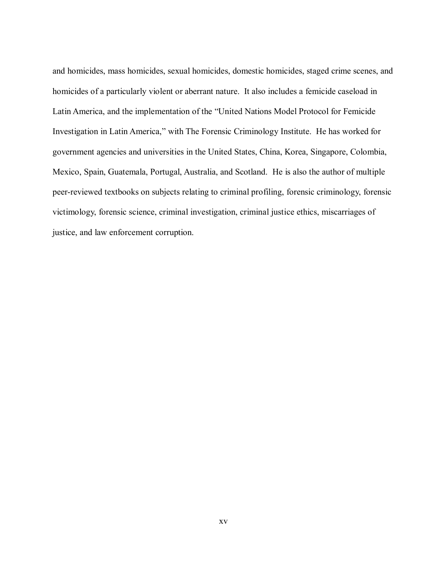and homicides, mass homicides, sexual homicides, domestic homicides, staged crime scenes, and homicides of a particularly violent or aberrant nature. It also includes a femicide caseload in Latin America, and the implementation of the "United Nations Model Protocol for Femicide Investigation in Latin America," with The Forensic Criminology Institute. He has worked for government agencies and universities in the United States, China, Korea, Singapore, Colombia, Mexico, Spain, Guatemala, Portugal, Australia, and Scotland. He is also the author of multiple peer-reviewed textbooks on subjects relating to criminal profiling, forensic criminology, forensic victimology, forensic science, criminal investigation, criminal justice ethics, miscarriages of justice, and law enforcement corruption.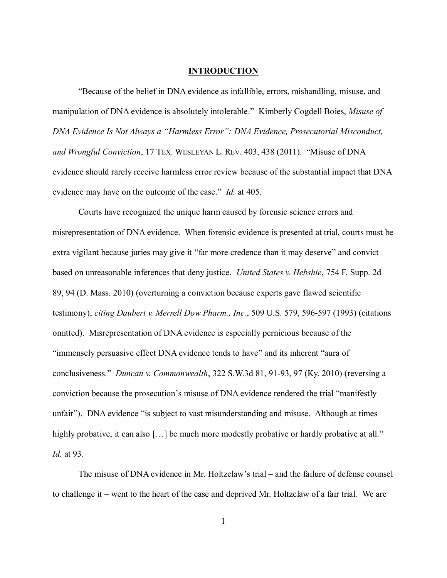#### **INTRODUCTION**

"Because of the belief in DNA evidence as infallible, errors, mishandling, misuse, and manipulation of DNA evidence is absolutely intolerable." Kimberly Cogdell Boies, *Misuse of DNA Evidence Is Not Always a "Harmless Error": DNA Evidence, Prosecutorial Misconduct, and Wrongful Conviction*, 17 TEX. WESLEYAN L. REV. 403, 438 (2011). "Misuse of DNA evidence should rarely receive harmless error review because of the substantial impact that DNA evidence may have on the outcome of the case." *Id.* at 405.

Courts have recognized the unique harm caused by forensic science errors and misrepresentation of DNA evidence. When forensic evidence is presented at trial, courts must be extra vigilant because juries may give it "far more credence than it may deserve" and convict based on unreasonable inferences that deny justice. *United States v. Hebshie*, 754 F. Supp. 2d 89, 94 (D. Mass. 2010) (overturning a conviction because experts gave flawed scientific testimony), *citing Daubert v. Merrell Dow Pharm., Inc.*, 509 U.S. 579, 596-597 (1993) (citations omitted). Misrepresentation of DNA evidence is especially pernicious because of the "immensely persuasive effect DNA evidence tends to have" and its inherent "aura of conclusiveness." *Duncan v. Commonwealth*, 322 S.W.3d 81, 91-93, 97 (Ky. 2010) (reversing a conviction because the prosecution's misuse of DNA evidence rendered the trial "manifestly unfair"). DNA evidence "is subject to vast misunderstanding and misuse. Although at times highly probative, it can also [...] be much more modestly probative or hardly probative at all." *Id.* at 93.

The misuse of DNA evidence in Mr. Holtzclaw's trial – and the failure of defense counsel to challenge it – went to the heart of the case and deprived Mr. Holtzclaw of a fair trial. We are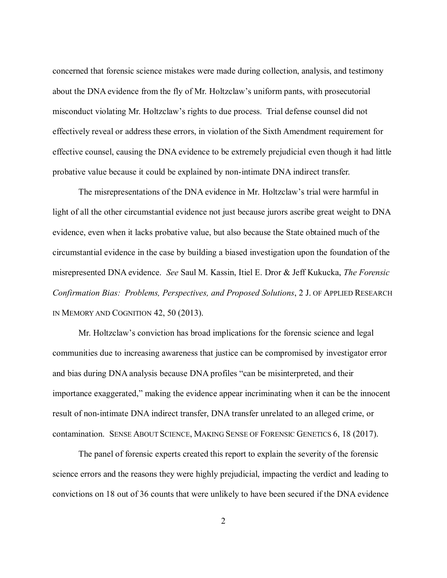concerned that forensic science mistakes were made during collection, analysis, and testimony about the DNA evidence from the fly of Mr. Holtzclaw's uniform pants, with prosecutorial misconduct violating Mr. Holtzclaw's rights to due process. Trial defense counsel did not effectively reveal or address these errors, in violation of the Sixth Amendment requirement for effective counsel, causing the DNA evidence to be extremely prejudicial even though it had little probative value because it could be explained by non-intimate DNA indirect transfer.

The misrepresentations of the DNA evidence in Mr. Holtzclaw's trial were harmful in light of all the other circumstantial evidence not just because jurors ascribe great weight to DNA evidence, even when it lacks probative value, but also because the State obtained much of the circumstantial evidence in the case by building a biased investigation upon the foundation of the misrepresented DNA evidence. *See* Saul M. Kassin, Itiel E. Dror & Jeff Kukucka, *The Forensic Confirmation Bias: Problems, Perspectives, and Proposed Solutions*, 2 J. OF APPLIED RESEARCH IN MEMORY AND COGNITION 42, 50 (2013).

Mr. Holtzclaw's conviction has broad implications for the forensic science and legal communities due to increasing awareness that justice can be compromised by investigator error and bias during DNA analysis because DNA profiles "can be misinterpreted, and their importance exaggerated," making the evidence appear incriminating when it can be the innocent result of non-intimate DNA indirect transfer, DNA transfer unrelated to an alleged crime, or contamination. SENSE ABOUT SCIENCE, MAKING SENSE OF FORENSIC GENETICS 6, 18 (2017).

The panel of forensic experts created this report to explain the severity of the forensic science errors and the reasons they were highly prejudicial, impacting the verdict and leading to convictions on 18 out of 36 counts that were unlikely to have been secured if the DNA evidence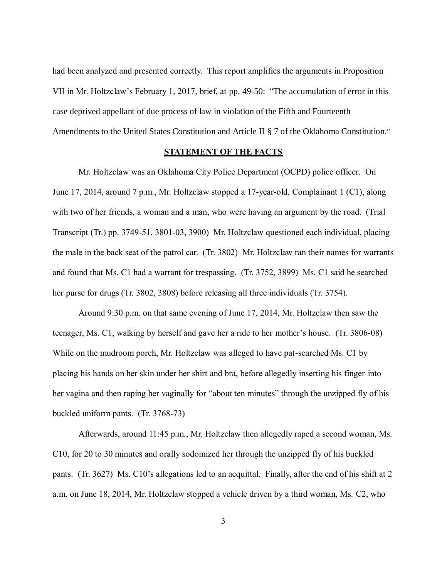had been analyzed and presented correctly. This report amplifies the arguments in Proposition VII in Mr. Holtzclaw's February 1, 2017, brief, at pp. 49-50: "The accumulation of error in this case deprived appellant of due process of law in violation of the Fifth and Fourteenth Amendments to the United States Constitution and Article II § 7 of the Oklahoma Constitution."

#### **STATEMENT OF THE FACTS**

Mr. Holtzclaw was an Oklahoma City Police Department (OCPD) police officer. On June 17, 2014, around 7 p.m., Mr. Holtzclaw stopped a 17-year-old, Complainant 1 (C1), along with two of her friends, a woman and a man, who were having an argument by the road. (Trial Transcript (Tr.) pp. 3749-51, 3801-03, 3900) Mr. Holtzclaw questioned each individual, placing the male in the back seat of the patrol car. (Tr. 3802) Mr. Holtzclaw ran their names for warrants and found that Ms. C1 had a warrant for trespassing. (Tr. 3752, 3899) Ms. C1 said he searched her purse for drugs (Tr. 3802, 3808) before releasing all three individuals (Tr. 3754).

Around 9:30 p.m. on that same evening of June 17, 2014, Mr. Holtzclaw then saw the teenager, Ms. C1, walking by herself and gave her a ride to her mother's house. (Tr. 3806-08) While on the mudroom porch, Mr. Holtzclaw was alleged to have pat-searched Ms. C1 by placing his hands on her skin under her shirt and bra, before allegedly inserting his finger into her vagina and then raping her vaginally for "about ten minutes" through the unzipped fly of his buckled uniform pants. (Tr. 3768-73)

Afterwards, around 11:45 p.m., Mr. Holtzclaw then allegedly raped a second woman, Ms. C10, for 20 to 30 minutes and orally sodomized her through the unzipped fly of his buckled pants. (Tr. 3627) Ms. C10's allegations led to an acquittal. Finally, after the end of his shift at 2 a.m. on June 18, 2014, Mr. Holtzclaw stopped a vehicle driven by a third woman, Ms. C2, who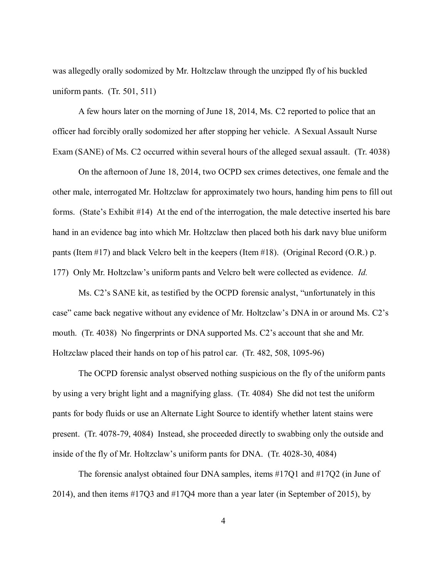was allegedly orally sodomized by Mr. Holtzclaw through the unzipped fly of his buckled uniform pants. (Tr. 501, 511)

A few hours later on the morning of June 18, 2014, Ms. C2 reported to police that an officer had forcibly orally sodomized her after stopping her vehicle. A Sexual Assault Nurse Exam (SANE) of Ms. C2 occurred within several hours of the alleged sexual assault. (Tr. 4038)

On the afternoon of June 18, 2014, two OCPD sex crimes detectives, one female and the other male, interrogated Mr. Holtzclaw for approximately two hours, handing him pens to fill out forms. (State's Exhibit #14) At the end of the interrogation, the male detective inserted his bare hand in an evidence bag into which Mr. Holtzclaw then placed both his dark navy blue uniform pants (Item #17) and black Velcro belt in the keepers (Item #18). (Original Record (O.R.) p. 177) Only Mr. Holtzclaw's uniform pants and Velcro belt were collected as evidence. *Id.*

Ms. C2's SANE kit, as testified by the OCPD forensic analyst, "unfortunately in this case" came back negative without any evidence of Mr. Holtzclaw's DNA in or around Ms. C2's mouth. (Tr. 4038) No fingerprints or DNA supported Ms. C2's account that she and Mr. Holtzclaw placed their hands on top of his patrol car. (Tr. 482, 508, 1095-96)

The OCPD forensic analyst observed nothing suspicious on the fly of the uniform pants by using a very bright light and a magnifying glass. (Tr. 4084) She did not test the uniform pants for body fluids or use an Alternate Light Source to identify whether latent stains were present. (Tr. 4078-79, 4084) Instead, she proceeded directly to swabbing only the outside and inside of the fly of Mr. Holtzclaw's uniform pants for DNA. (Tr. 4028-30, 4084)

The forensic analyst obtained four DNA samples, items #17Q1 and #17Q2 (in June of 2014), and then items #17Q3 and #17Q4 more than a year later (in September of 2015), by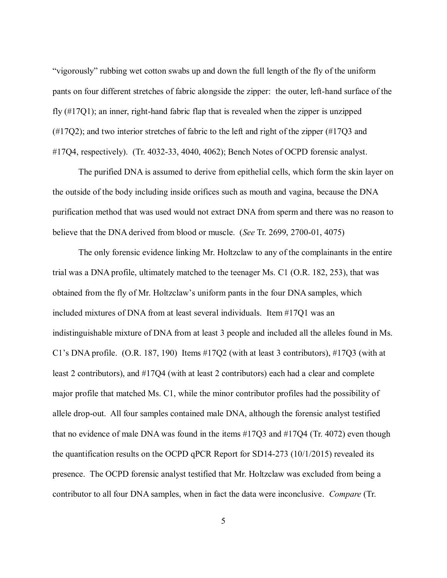"vigorously" rubbing wet cotton swabs up and down the full length of the fly of the uniform pants on four different stretches of fabric alongside the zipper: the outer, left-hand surface of the fly (#17Q1); an inner, right-hand fabric flap that is revealed when the zipper is unzipped (#17Q2); and two interior stretches of fabric to the left and right of the zipper (#17Q3 and #17Q4, respectively). (Tr. 4032-33, 4040, 4062); Bench Notes of OCPD forensic analyst.

The purified DNA is assumed to derive from epithelial cells, which form the skin layer on the outside of the body including inside orifices such as mouth and vagina, because the DNA purification method that was used would not extract DNA from sperm and there was no reason to believe that the DNA derived from blood or muscle. (*See* Tr. 2699, 2700-01, 4075)

The only forensic evidence linking Mr. Holtzclaw to any of the complainants in the entire trial was a DNA profile, ultimately matched to the teenager Ms. C1 (O.R. 182, 253), that was obtained from the fly of Mr. Holtzclaw's uniform pants in the four DNA samples, which included mixtures of DNA from at least several individuals. Item #17Q1 was an indistinguishable mixture of DNA from at least 3 people and included all the alleles found in Ms. C1's DNA profile. (O.R. 187, 190) Items #17Q2 (with at least 3 contributors), #17Q3 (with at least 2 contributors), and #17Q4 (with at least 2 contributors) each had a clear and complete major profile that matched Ms. C1, while the minor contributor profiles had the possibility of allele drop-out. All four samples contained male DNA, although the forensic analyst testified that no evidence of male DNA was found in the items #17Q3 and #17Q4 (Tr. 4072) even though the quantification results on the OCPD qPCR Report for SD14-273 (10/1/2015) revealed its presence. The OCPD forensic analyst testified that Mr. Holtzclaw was excluded from being a contributor to all four DNA samples, when in fact the data were inconclusive. *Compare* (Tr.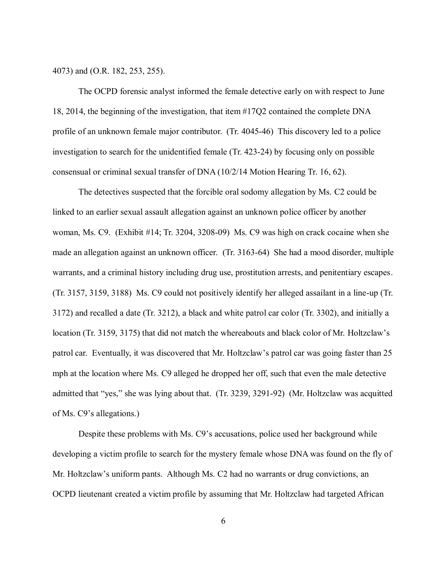4073) and (O.R. 182, 253, 255).

The OCPD forensic analyst informed the female detective early on with respect to June 18, 2014, the beginning of the investigation, that item #17Q2 contained the complete DNA profile of an unknown female major contributor. (Tr. 4045-46) This discovery led to a police investigation to search for the unidentified female (Tr. 423-24) by focusing only on possible consensual or criminal sexual transfer of DNA (10/2/14 Motion Hearing Tr. 16, 62).

The detectives suspected that the forcible oral sodomy allegation by Ms. C2 could be linked to an earlier sexual assault allegation against an unknown police officer by another woman, Ms. C9. (Exhibit #14; Tr. 3204, 3208-09) Ms. C9 was high on crack cocaine when she made an allegation against an unknown officer. (Tr. 3163-64) She had a mood disorder, multiple warrants, and a criminal history including drug use, prostitution arrests, and penitentiary escapes. (Tr. 3157, 3159, 3188) Ms. C9 could not positively identify her alleged assailant in a line-up (Tr. 3172) and recalled a date (Tr. 3212), a black and white patrol car color (Tr. 3302), and initially a location (Tr. 3159, 3175) that did not match the whereabouts and black color of Mr. Holtzclaw's patrol car. Eventually, it was discovered that Mr. Holtzclaw's patrol car was going faster than 25 mph at the location where Ms. C9 alleged he dropped her off, such that even the male detective admitted that "yes," she was lying about that. (Tr. 3239, 3291-92) (Mr. Holtzclaw was acquitted of Ms. C9's allegations.)

Despite these problems with Ms. C9's accusations, police used her background while developing a victim profile to search for the mystery female whose DNA was found on the fly of Mr. Holtzclaw's uniform pants. Although Ms. C2 had no warrants or drug convictions, an OCPD lieutenant created a victim profile by assuming that Mr. Holtzclaw had targeted African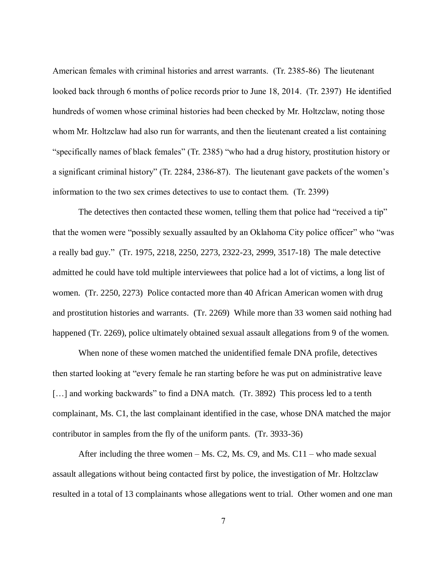American females with criminal histories and arrest warrants. (Tr. 2385-86) The lieutenant looked back through 6 months of police records prior to June 18, 2014. (Tr. 2397) He identified hundreds of women whose criminal histories had been checked by Mr. Holtzclaw, noting those whom Mr. Holtzclaw had also run for warrants, and then the lieutenant created a list containing "specifically names of black females" (Tr. 2385) "who had a drug history, prostitution history or a significant criminal history" (Tr. 2284, 2386-87). The lieutenant gave packets of the women's information to the two sex crimes detectives to use to contact them. (Tr. 2399)

The detectives then contacted these women, telling them that police had "received a tip" that the women were "possibly sexually assaulted by an Oklahoma City police officer" who "was a really bad guy." (Tr. 1975, 2218, 2250, 2273, 2322-23, 2999, 3517-18) The male detective admitted he could have told multiple interviewees that police had a lot of victims, a long list of women. (Tr. 2250, 2273) Police contacted more than 40 African American women with drug and prostitution histories and warrants. (Tr. 2269) While more than 33 women said nothing had happened (Tr. 2269), police ultimately obtained sexual assault allegations from 9 of the women.

When none of these women matched the unidentified female DNA profile, detectives then started looking at "every female he ran starting before he was put on administrative leave [...] and working backwards" to find a DNA match. (Tr. 3892) This process led to a tenth complainant, Ms. C1, the last complainant identified in the case, whose DNA matched the major contributor in samples from the fly of the uniform pants. (Tr. 3933-36)

After including the three women  $-Ms$ . C2, Ms. C9, and Ms. C11 – who made sexual assault allegations without being contacted first by police, the investigation of Mr. Holtzclaw resulted in a total of 13 complainants whose allegations went to trial. Other women and one man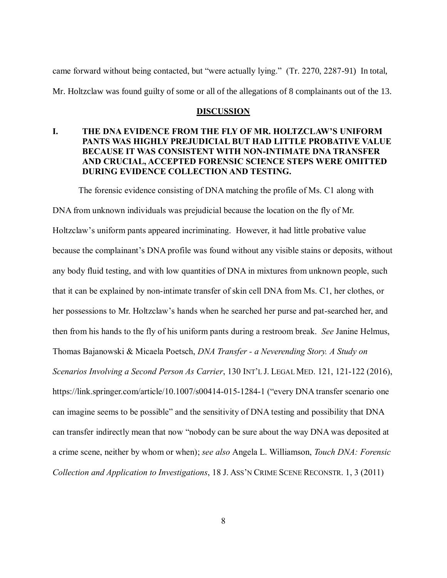came forward without being contacted, but "were actually lying." (Tr. 2270, 2287-91) In total, Mr. Holtzclaw was found guilty of some or all of the allegations of 8 complainants out of the 13.

#### **DISCUSSION**

# **I. THE DNA EVIDENCE FROM THE FLY OF MR. HOLTZCLAW'S UNIFORM PANTS WAS HIGHLY PREJUDICIAL BUT HAD LITTLE PROBATIVE VALUE BECAUSE IT WAS CONSISTENT WITH NON-INTIMATE DNA TRANSFER AND CRUCIAL, ACCEPTED FORENSIC SCIENCE STEPS WERE OMITTED DURING EVIDENCE COLLECTION AND TESTING.**

The forensic evidence consisting of DNA matching the profile of Ms. C1 along with

DNA from unknown individuals was prejudicial because the location on the fly of Mr. Holtzclaw's uniform pants appeared incriminating. However, it had little probative value because the complainant's DNA profile was found without any visible stains or deposits, without any body fluid testing, and with low quantities of DNA in mixtures from unknown people, such that it can be explained by non-intimate transfer of skin cell DNA from Ms. C1, her clothes, or her possessions to Mr. Holtzclaw's hands when he searched her purse and pat-searched her, and then from his hands to the fly of his uniform pants during a restroom break. *See* Janine Helmus, Thomas Bajanowski & Micaela Poetsch, *DNA Transfer - a Neverending Story. A Study on Scenarios Involving a Second Person As Carrier*, 130 INT'L J. LEGAL MED. 121, 121-122 (2016), https://link.springer.com/article/10.1007/s00414-015-1284-1 ("every DNA transfer scenario one can imagine seems to be possible" and the sensitivity of DNA testing and possibility that DNA can transfer indirectly mean that now "nobody can be sure about the way DNA was deposited at a crime scene, neither by whom or when); *see also* Angela L. Williamson, *Touch DNA: Forensic Collection and Application to Investigations*, 18 J. ASS'N CRIME SCENE RECONSTR. 1, 3 (2011)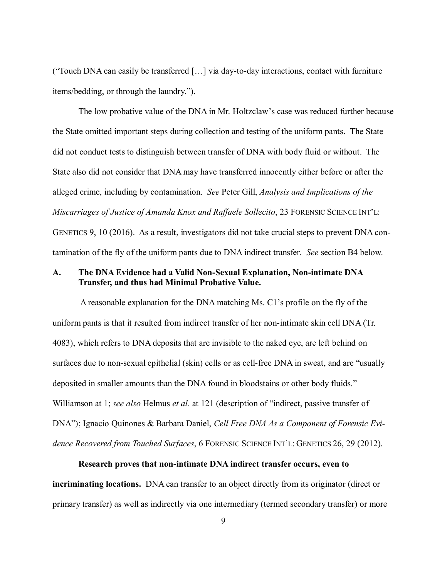("Touch DNA can easily be transferred […] via day-to-day interactions, contact with furniture items/bedding, or through the laundry.").

The low probative value of the DNA in Mr. Holtzclaw's case was reduced further because the State omitted important steps during collection and testing of the uniform pants. The State did not conduct tests to distinguish between transfer of DNA with body fluid or without. The State also did not consider that DNA may have transferred innocently either before or after the alleged crime, including by contamination. *See* Peter Gill, *Analysis and Implications of the Miscarriages of Justice of Amanda Knox and Raffaele Sollecito*, 23 FORENSIC SCIENCE INT'L: GENETICS 9, 10 (2016). As a result, investigators did not take crucial steps to prevent DNA contamination of the fly of the uniform pants due to DNA indirect transfer. *See* section B4 below.

#### **A. The DNA Evidence had a Valid Non-Sexual Explanation, Non-intimate DNA Transfer, and thus had Minimal Probative Value.**

A reasonable explanation for the DNA matching Ms. C1's profile on the fly of the uniform pants is that it resulted from indirect transfer of her non-intimate skin cell DNA (Tr. 4083), which refers to DNA deposits that are invisible to the naked eye, are left behind on surfaces due to non-sexual epithelial (skin) cells or as cell-free DNA in sweat, and are "usually deposited in smaller amounts than the DNA found in bloodstains or other body fluids." Williamson at 1; *see also* Helmus *et al.* at 121 (description of "indirect, passive transfer of DNA"); Ignacio Quinones & Barbara Daniel, *Cell Free DNA As a Component of Forensic Evidence Recovered from Touched Surfaces*, 6 FORENSIC SCIENCE INT'L: GENETICS 26, 29 (2012).

**Research proves that non-intimate DNA indirect transfer occurs, even to incriminating locations.** DNA can transfer to an object directly from its originator (direct or primary transfer) as well as indirectly via one intermediary (termed secondary transfer) or more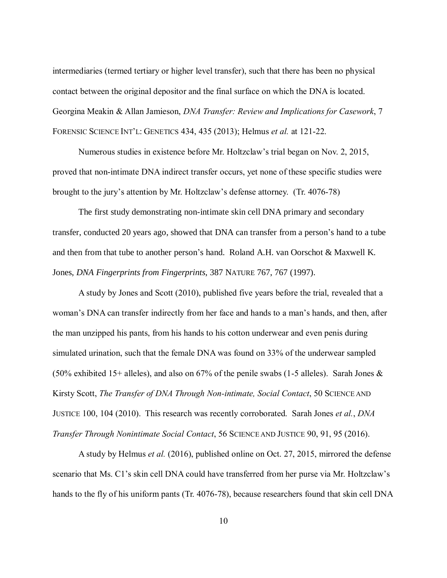intermediaries (termed tertiary or higher level transfer), such that there has been no physical contact between the original depositor and the final surface on which the DNA is located. Georgina Meakin & Allan Jamieson, *DNA Transfer: Review and Implications for Casework*, 7 FORENSIC SCIENCE INT'L: GENETICS 434, 435 (2013); Helmus *et al.* at 121-22.

Numerous studies in existence before Mr. Holtzclaw's trial began on Nov. 2, 2015, proved that non-intimate DNA indirect transfer occurs, yet none of these specific studies were brought to the jury's attention by Mr. Holtzclaw's defense attorney. (Tr. 4076-78)

The first study demonstrating non-intimate skin cell DNA primary and secondary transfer, conducted 20 years ago, showed that DNA can transfer from a person's hand to a tube and then from that tube to another person's hand. Roland A.H. van Oorschot & Maxwell K. Jones, *DNA Fingerprints from Fingerprints*, 387 NATURE 767, 767 (1997).

A study by Jones and Scott (2010), published five years before the trial, revealed that a woman's DNA can transfer indirectly from her face and hands to a man's hands, and then, after the man unzipped his pants, from his hands to his cotton underwear and even penis during simulated urination, such that the female DNA was found on 33% of the underwear sampled (50% exhibited 15+ alleles), and also on 67% of the penile swabs (1-5 alleles). Sarah Jones  $\&$ Kirsty Scott, *The Transfer of DNA Through Non-intimate, Social Contact*, 50 SCIENCE AND JUSTICE 100, 104 (2010). This research was recently corroborated. Sarah Jones *et al.*, *DNA Transfer Through Nonintimate Social Contact*, 56 SCIENCE AND JUSTICE 90, 91, 95 (2016).

A study by Helmus *et al.* (2016), published online on Oct. 27, 2015, mirrored the defense scenario that Ms. C1's skin cell DNA could have transferred from her purse via Mr. Holtzclaw's hands to the fly of his uniform pants (Tr. 4076-78), because researchers found that skin cell DNA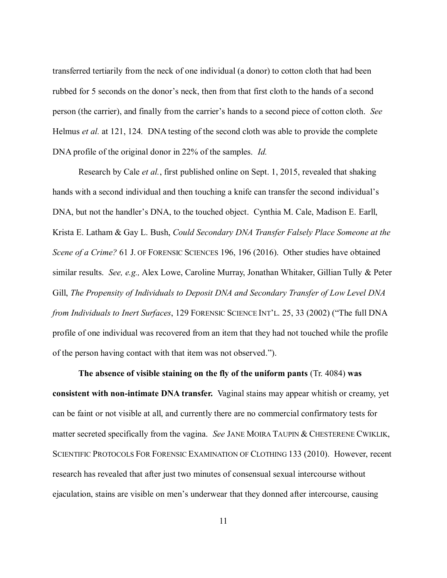transferred tertiarily from the neck of one individual (a donor) to cotton cloth that had been rubbed for 5 seconds on the donor's neck, then from that first cloth to the hands of a second person (the carrier), and finally from the carrier's hands to a second piece of cotton cloth. *See* Helmus *et al.* at 121, 124*.* DNA testing of the second cloth was able to provide the complete DNA profile of the original donor in 22% of the samples. *Id.* 

Research by Cale *et al.*, first published online on Sept. 1, 2015, revealed that shaking hands with a second individual and then touching a knife can transfer the second individual's DNA, but not the handler's DNA, to the touched object.Cynthia M. Cale, Madison E. Earll, Krista E. Latham & Gay L. Bush, *Could Secondary DNA Transfer Falsely Place Someone at the Scene of a Crime?* 61 J. OF FORENSIC SCIENCES 196, 196 (2016). Other studies have obtained similar results. *See, e.g.,* Alex Lowe, Caroline Murray, Jonathan Whitaker, Gillian Tully & Peter Gill, *The Propensity of Individuals to Deposit DNA and Secondary Transfer of Low Level DNA from Individuals to Inert Surfaces*, 129 FORENSIC SCIENCE INT'L. 25, 33 (2002) ("The full DNA profile of one individual was recovered from an item that they had not touched while the profile of the person having contact with that item was not observed.").

**The absence of visible staining on the fly of the uniform pants** (Tr. 4084) **was consistent with non-intimate DNA transfer.** Vaginal stains may appear whitish or creamy, yet can be faint or not visible at all, and currently there are no commercial confirmatory tests for matter secreted specifically from the vagina. *See* JANE MOIRA TAUPIN & CHESTERENE CWIKLIK, SCIENTIFIC PROTOCOLS FOR FORENSIC EXAMINATION OF CLOTHING 133 (2010). However, recent research has revealed that after just two minutes of consensual sexual intercourse without ejaculation, stains are visible on men's underwear that they donned after intercourse, causing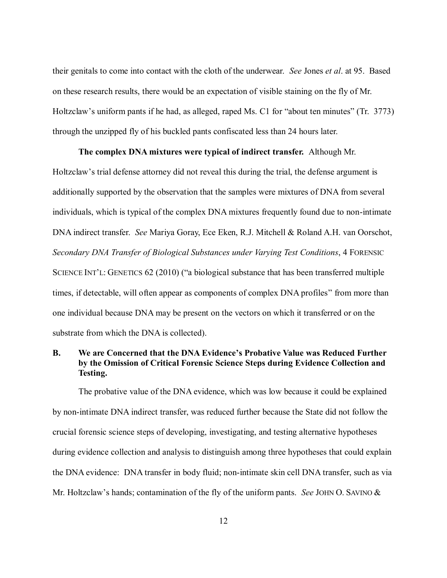their genitals to come into contact with the cloth of the underwear. *See* Jones *et al*. at 95. Based on these research results, there would be an expectation of visible staining on the fly of Mr. Holtzclaw's uniform pants if he had, as alleged, raped Ms. C1 for "about ten minutes" (Tr. 3773) through the unzipped fly of his buckled pants confiscated less than 24 hours later.

#### **The complex DNA mixtures were typical of indirect transfer.** Although Mr.

Holtzclaw's trial defense attorney did not reveal this during the trial, the defense argument is additionally supported by the observation that the samples were mixtures of DNA from several individuals, which is typical of the complex DNA mixtures frequently found due to non-intimate DNA indirect transfer. *See* Mariya Goray, Ece Eken, R.J. Mitchell & Roland A.H. van Oorschot, *Secondary DNA Transfer of Biological Substances under Varying Test Conditions*, 4 FORENSIC SCIENCE INT'L: GENETICS 62 (2010) ("a biological substance that has been transferred multiple times, if detectable, will often appear as components of complex DNA profiles" from more than one individual because DNA may be present on the vectors on which it transferred or on the substrate from which the DNA is collected).

# **B. We are Concerned that the DNA Evidence's Probative Value was Reduced Further by the Omission of Critical Forensic Science Steps during Evidence Collection and Testing.**

The probative value of the DNA evidence, which was low because it could be explained by non-intimate DNA indirect transfer, was reduced further because the State did not follow the crucial forensic science steps of developing, investigating, and testing alternative hypotheses during evidence collection and analysis to distinguish among three hypotheses that could explain the DNA evidence: DNA transfer in body fluid; non-intimate skin cell DNA transfer, such as via Mr. Holtzclaw's hands; contamination of the fly of the uniform pants. *See* JOHN O. SAVINO &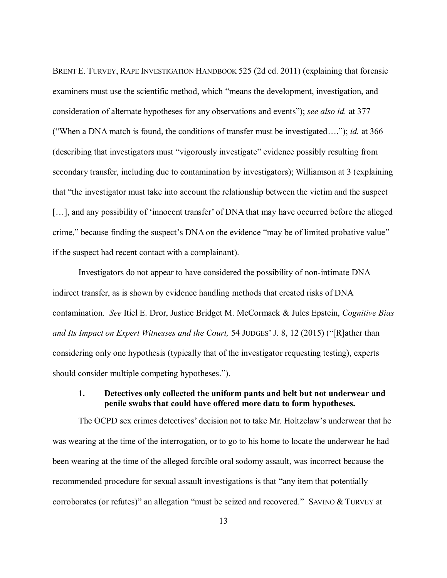BRENT E. TURVEY, RAPE INVESTIGATION HANDBOOK 525 (2d ed. 2011) (explaining that forensic examiners must use the scientific method, which "means the development, investigation, and consideration of alternate hypotheses for any observations and events"); *see also id.* at 377 ("When a DNA match is found, the conditions of transfer must be investigated…."); *id.* at 366 (describing that investigators must "vigorously investigate" evidence possibly resulting from secondary transfer, including due to contamination by investigators); Williamson at 3 (explaining that "the investigator must take into account the relationship between the victim and the suspect [...], and any possibility of 'innocent transfer' of DNA that may have occurred before the alleged crime," because finding the suspect's DNA on the evidence "may be of limited probative value" if the suspect had recent contact with a complainant).

Investigators do not appear to have considered the possibility of non-intimate DNA indirect transfer, as is shown by evidence handling methods that created risks of DNA contamination. *See* Itiel E. Dror, Justice Bridget M. McCormack & Jules Epstein, *Cognitive Bias and Its Impact on Expert Witnesses and the Court,* 54 JUDGES'J. 8, 12 (2015) ("[R]ather than considering only one hypothesis (typically that of the investigator requesting testing), experts should consider multiple competing hypotheses.").

### **1. Detectives only collected the uniform pants and belt but not underwear and penile swabs that could have offered more data to form hypotheses.**

The OCPD sex crimes detectives' decision not to take Mr. Holtzclaw's underwear that he was wearing at the time of the interrogation, or to go to his home to locate the underwear he had been wearing at the time of the alleged forcible oral sodomy assault, was incorrect because the recommended procedure for sexual assault investigations is that "any item that potentially corroborates (or refutes)" an allegation "must be seized and recovered." SAVINO & TURVEY at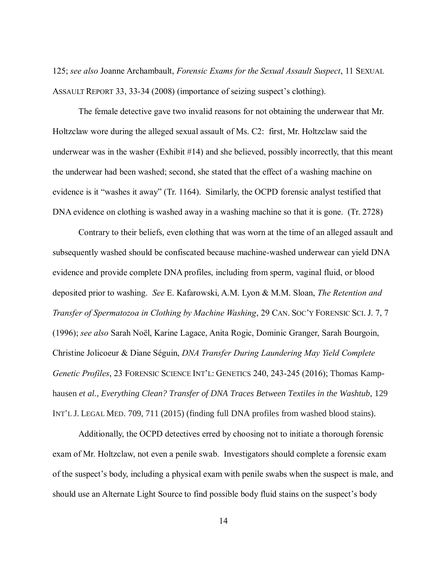125; *see also* Joanne Archambault, *Forensic Exams for the Sexual Assault Suspect*, 11 SEXUAL ASSAULT REPORT 33, 33-34 (2008) (importance of seizing suspect's clothing).

The female detective gave two invalid reasons for not obtaining the underwear that Mr. Holtzclaw wore during the alleged sexual assault of Ms. C2: first, Mr. Holtzclaw said the underwear was in the washer (Exhibit #14) and she believed, possibly incorrectly, that this meant the underwear had been washed; second, she stated that the effect of a washing machine on evidence is it "washes it away" (Tr. 1164). Similarly, the OCPD forensic analyst testified that DNA evidence on clothing is washed away in a washing machine so that it is gone. (Tr. 2728)

Contrary to their beliefs, even clothing that was worn at the time of an alleged assault and subsequently washed should be confiscated because machine-washed underwear can yield DNA evidence and provide complete DNA profiles, including from sperm, vaginal fluid, or blood deposited prior to washing. *See* E. Kafarowski, A.M. Lyon & M.M. Sloan, *The Retention and Transfer of Spermatozoa in Clothing by Machine Washing*, 29 CAN. SOC'Y FORENSIC SCI. J. 7, 7 (1996); *see also* Sarah Noël, Karine Lagace, Anita Rogic, Dominic Granger, Sarah Bourgoin, Christine Jolicoeur & Diane Séguin, *DNA Transfer During Laundering May Yield Complete Genetic Profiles*, 23 FORENSIC SCIENCE INT'L: GENETICS 240, 243-245 (2016); Thomas Kamphausen *et al.*, *Everything Clean? Transfer of DNA Traces Between Textiles in the Washtub*, 129 INT'L J. LEGAL MED. 709, 711 (2015) (finding full DNA profiles from washed blood stains).

Additionally, the OCPD detectives erred by choosing not to initiate a thorough forensic exam of Mr. Holtzclaw, not even a penile swab. Investigators should complete a forensic exam of the suspect's body, including a physical exam with penile swabs when the suspect is male, and should use an Alternate Light Source to find possible body fluid stains on the suspect's body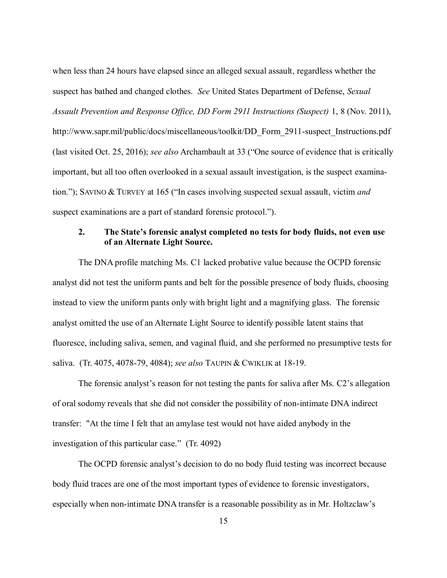when less than 24 hours have elapsed since an alleged sexual assault, regardless whether the suspect has bathed and changed clothes. *See* United States Department of Defense, *Sexual Assault Prevention and Response Office, DD Form 2911 Instructions (Suspect)* 1, 8 (Nov. 2011), [http://www.sapr.mil/public/docs/miscellaneous/toolkit/DD\\_Form\\_2911-suspect\\_Instructions.pdf](http://www.sapr.mil/public/docs/miscellaneous/toolkit/DD_Form_2911-suspect_Instructions.pdf) (last visited Oct. 25, 2016); *see also* Archambault at 33 ("One source of evidence that is critically important, but all too often overlooked in a sexual assault investigation, is the suspect examination."); SAVINO & TURVEY at 165 ("In cases involving suspected sexual assault, victim *and* suspect examinations are a part of standard forensic protocol.").

#### **2. The State's forensic analyst completed no tests for body fluids, not even use of an Alternate Light Source.**

The DNA profile matching Ms. C1 lacked probative value because the OCPD forensic analyst did not test the uniform pants and belt for the possible presence of body fluids, choosing instead to view the uniform pants only with bright light and a magnifying glass. The forensic analyst omitted the use of an Alternate Light Source to identify possible latent stains that fluoresce, including saliva, semen, and vaginal fluid, and she performed no presumptive tests for saliva. (Tr. 4075, 4078-79, 4084); *see also* TAUPIN & CWIKLIK at 18-19.

The forensic analyst's reason for not testing the pants for saliva after Ms. C2's allegation of oral sodomy reveals that she did not consider the possibility of non-intimate DNA indirect transfer: "At the time I felt that an amylase test would not have aided anybody in the investigation of this particular case." (Tr. 4092)

The OCPD forensic analyst's decision to do no body fluid testing was incorrect because body fluid traces are one of the most important types of evidence to forensic investigators, especially when non-intimate DNA transfer is a reasonable possibility as in Mr. Holtzclaw's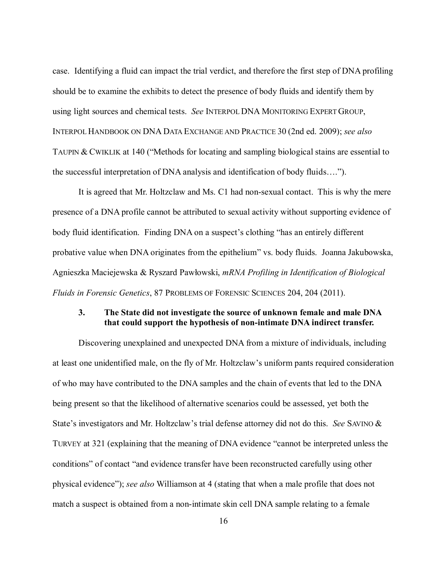case. Identifying a fluid can impact the trial verdict, and therefore the first step of DNA profiling should be to examine the exhibits to detect the presence of body fluids and identify them by using light sources and chemical tests. *See* INTERPOL DNA MONITORING EXPERT GROUP, INTERPOL HANDBOOK ON DNA DATA EXCHANGE AND PRACTICE 30 (2nd ed. 2009); *see also* TAUPIN & CWIKLIK at 140 ("Methods for locating and sampling biological stains are essential to the successful interpretation of DNA analysis and identification of body fluids….").

It is agreed that Mr. Holtzclaw and Ms. C1 had non-sexual contact. This is why the mere presence of a DNA profile cannot be attributed to sexual activity without supporting evidence of body fluid identification. Finding DNA on a suspect's clothing "has an entirely different probative value when DNA originates from the epithelium" vs. body fluids. Joanna Jakubowska, Agnieszka Maciejewska & Ryszard Pawłowski, *mRNA Profiling in Identification of Biological Fluids in Forensic Genetics*, 87 PROBLEMS OF FORENSIC SCIENCES 204, 204 (2011).

### **3. The State did not investigate the source of unknown female and male DNA that could support the hypothesis of non-intimate DNA indirect transfer.**

Discovering unexplained and unexpected DNA from a mixture of individuals, including at least one unidentified male, on the fly of Mr. Holtzclaw's uniform pants required consideration of who may have contributed to the DNA samples and the chain of events that led to the DNA being present so that the likelihood of alternative scenarios could be assessed, yet both the State's investigators and Mr. Holtzclaw's trial defense attorney did not do this. *See* SAVINO & TURVEY at 321 (explaining that the meaning of DNA evidence "cannot be interpreted unless the conditions" of contact "and evidence transfer have been reconstructed carefully using other physical evidence"); *see also* Williamson at 4 (stating that when a male profile that does not match a suspect is obtained from a non-intimate skin cell DNA sample relating to a female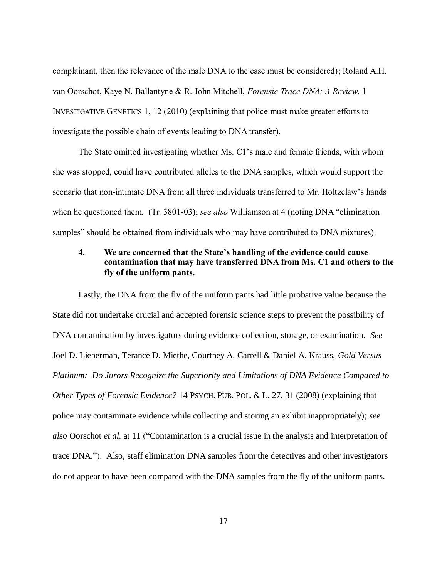complainant, then the relevance of the male DNA to the case must be considered); Roland A.H. van Oorschot, Kaye N. Ballantyne & R. John Mitchell, *Forensic Trace DNA: A Review*, 1 INVESTIGATIVE GENETICS 1, 12 (2010) (explaining that police must make greater efforts to investigate the possible chain of events leading to DNA transfer).

The State omitted investigating whether Ms. C1's male and female friends, with whom she was stopped, could have contributed alleles to the DNA samples, which would support the scenario that non-intimate DNA from all three individuals transferred to Mr. Holtzclaw's hands when he questioned them. (Tr. 3801-03); *see also* Williamson at 4 (noting DNA "elimination samples" should be obtained from individuals who may have contributed to DNA mixtures).

### **4. We are concerned that the State's handling of the evidence could cause contamination that may have transferred DNA from Ms. C1 and others to the fly of the uniform pants.**

Lastly, the DNA from the fly of the uniform pants had little probative value because the State did not undertake crucial and accepted forensic science steps to prevent the possibility of DNA contamination by investigators during evidence collection, storage, or examination. *See* Joel D. Lieberman, Terance D. Miethe, Courtney A. Carrell & Daniel A. Krauss, *Gold Versus Platinum: Do Jurors Recognize the Superiority and Limitations of DNA Evidence Compared to Other Types of Forensic Evidence?* 14 PSYCH. PUB. POL. & L. 27, 31 (2008) (explaining that police may contaminate evidence while collecting and storing an exhibit inappropriately); *see also* Oorschot *et al.* at 11 ("Contamination is a crucial issue in the analysis and interpretation of trace DNA."). Also, staff elimination DNA samples from the detectives and other investigators do not appear to have been compared with the DNA samples from the fly of the uniform pants.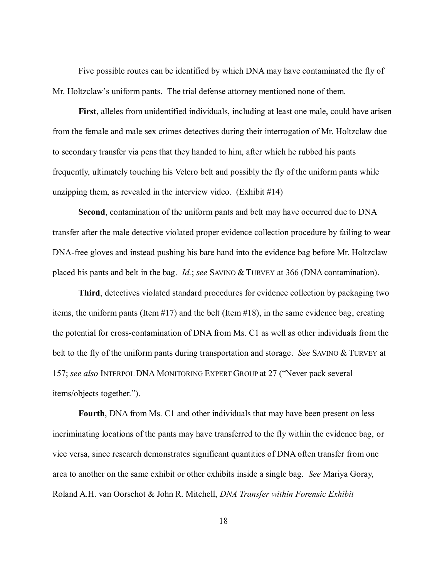Five possible routes can be identified by which DNA may have contaminated the fly of Mr. Holtzclaw's uniform pants. The trial defense attorney mentioned none of them.

**First**, alleles from unidentified individuals, including at least one male, could have arisen from the female and male sex crimes detectives during their interrogation of Mr. Holtzclaw due to secondary transfer via pens that they handed to him, after which he rubbed his pants frequently, ultimately touching his Velcro belt and possibly the fly of the uniform pants while unzipping them, as revealed in the interview video. (Exhibit #14)

**Second**, contamination of the uniform pants and belt may have occurred due to DNA transfer after the male detective violated proper evidence collection procedure by failing to wear DNA-free gloves and instead pushing his bare hand into the evidence bag before Mr. Holtzclaw placed his pants and belt in the bag. *Id.*; *see* SAVINO & TURVEY at 366 (DNA contamination).

**Third**, detectives violated standard procedures for evidence collection by packaging two items, the uniform pants (Item #17) and the belt (Item #18), in the same evidence bag, creating the potential for cross-contamination of DNA from Ms. C1 as well as other individuals from the belt to the fly of the uniform pants during transportation and storage. *See* SAVINO & TURVEY at 157; *see also* INTERPOL DNA MONITORING EXPERT GROUP at 27 ("Never pack several items/objects together.").

**Fourth**, DNA from Ms. C1 and other individuals that may have been present on less incriminating locations of the pants may have transferred to the fly within the evidence bag, or vice versa, since research demonstrates significant quantities of DNA often transfer from one area to another on the same exhibit or other exhibits inside a single bag. *See* Mariya Goray, Roland A.H. van Oorschot & John R. Mitchell, *DNA Transfer within Forensic Exhibit*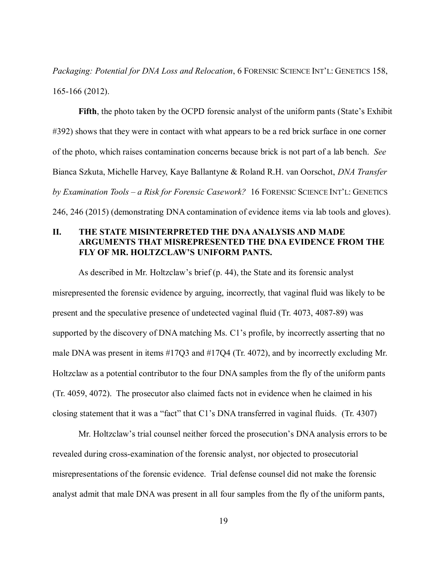*Packaging: Potential for DNA Loss and Relocation*, 6 FORENSIC SCIENCE INT'L: GENETICS 158, 165-166 (2012).

**Fifth**, the photo taken by the OCPD forensic analyst of the uniform pants (State's Exhibit #392) shows that they were in contact with what appears to be a red brick surface in one corner of the photo, which raises contamination concerns because brick is not part of a lab bench. *See* Bianca Szkuta, Michelle Harvey, Kaye Ballantyne & Roland R.H. van Oorschot, *DNA Transfer by Examination Tools* – *a Risk for Forensic Casework?* 16 FORENSIC SCIENCE INT'L: GENETICS 246, 246 (2015) (demonstrating DNA contamination of evidence items via lab tools and gloves).

# **II. THE STATE MISINTERPRETED THE DNA ANALYSIS AND MADE ARGUMENTS THAT MISREPRESENTED THE DNA EVIDENCE FROM THE FLY OF MR. HOLTZCLAW'S UNIFORM PANTS.**

As described in Mr. Holtzclaw's brief (p. 44), the State and its forensic analyst misrepresented the forensic evidence by arguing, incorrectly, that vaginal fluid was likely to be present and the speculative presence of undetected vaginal fluid (Tr. 4073, 4087-89) was supported by the discovery of DNA matching Ms. C1's profile, by incorrectly asserting that no male DNA was present in items #17Q3 and #17Q4 (Tr. 4072), and by incorrectly excluding Mr. Holtzclaw as a potential contributor to the four DNA samples from the fly of the uniform pants (Tr. 4059, 4072). The prosecutor also claimed facts not in evidence when he claimed in his closing statement that it was a "fact" that C1's DNA transferred in vaginal fluids. (Tr. 4307)

Mr. Holtzclaw's trial counsel neither forced the prosecution's DNA analysis errors to be revealed during cross-examination of the forensic analyst, nor objected to prosecutorial misrepresentations of the forensic evidence. Trial defense counsel did not make the forensic analyst admit that male DNA was present in all four samples from the fly of the uniform pants,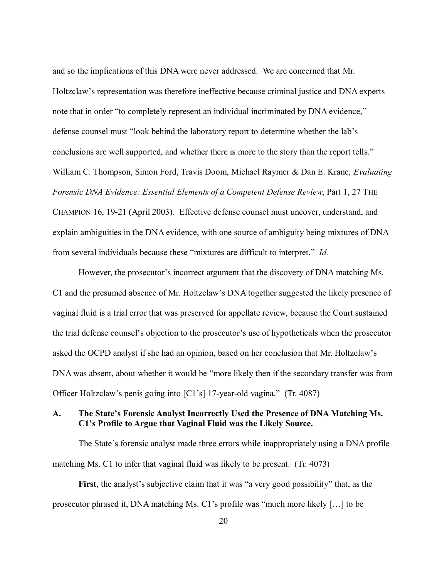and so the implications of this DNA were never addressed. We are concerned that Mr. Holtzclaw's representation was therefore ineffective because criminal justice and DNA experts note that in order "to completely represent an individual incriminated by DNA evidence," defense counsel must "look behind the laboratory report to determine whether the lab's conclusions are well supported, and whether there is more to the story than the report tells." William C. Thompson, Simon Ford, Travis Doom, Michael Raymer & Dan E. Krane, *Evaluating Forensic DNA Evidence: Essential Elements of a Competent Defense Review*, Part 1, 27 THE CHAMPION 16, 19-21 (April 2003). Effective defense counsel must uncover, understand, and explain ambiguities in the DNA evidence, with one source of ambiguity being mixtures of DNA from several individuals because these "mixtures are difficult to interpret." *Id.*

 However, the prosecutor's incorrect argument that the discovery of DNA matching Ms. C1 and the presumed absence of Mr. Holtzclaw's DNA together suggested the likely presence of vaginal fluid is a trial error that was preserved for appellate review, because the Court sustained the trial defense counsel's objection to the prosecutor's use of hypotheticals when the prosecutor asked the OCPD analyst if she had an opinion, based on her conclusion that Mr. Holtzclaw's DNA was absent, about whether it would be "more likely then if the secondary transfer was from Officer Holtzclaw's penis going into [C1's] 17-year-old vagina." (Tr. 4087)

### **A. The State's Forensic Analyst Incorrectly Used the Presence of DNA Matching Ms. C1's Profile to Argue that Vaginal Fluid was the Likely Source.**

The State's forensic analyst made three errors while inappropriately using a DNA profile matching Ms. C1 to infer that vaginal fluid was likely to be present. (Tr. 4073)

**First**, the analyst's subjective claim that it was "a very good possibility" that, as the prosecutor phrased it, DNA matching Ms. C1's profile was "much more likely […] to be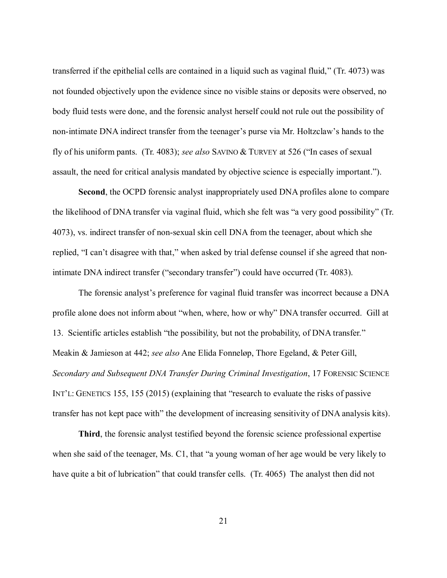transferred if the epithelial cells are contained in a liquid such as vaginal fluid," (Tr. 4073) was not founded objectively upon the evidence since no visible stains or deposits were observed, no body fluid tests were done, and the forensic analyst herself could not rule out the possibility of non-intimate DNA indirect transfer from the teenager's purse via Mr. Holtzclaw's hands to the fly of his uniform pants. (Tr. 4083); *see also* SAVINO & TURVEY at 526 ("In cases of sexual assault, the need for critical analysis mandated by objective science is especially important.").

**Second**, the OCPD forensic analyst inappropriately used DNA profiles alone to compare the likelihood of DNA transfer via vaginal fluid, which she felt was "a very good possibility" (Tr. 4073), vs. indirect transfer of non-sexual skin cell DNA from the teenager, about which she replied, "I can't disagree with that," when asked by trial defense counsel if she agreed that nonintimate DNA indirect transfer ("secondary transfer") could have occurred (Tr. 4083).

The forensic analyst's preference for vaginal fluid transfer was incorrect because a DNA profile alone does not inform about "when, where, how or why" DNA transfer occurred. Gill at 13. Scientific articles establish "the possibility, but not the probability, of DNA transfer." Meakin & Jamieson at 442; *see also* Ane Elida Fonneløp, Thore Egeland, & Peter Gill, *Secondary and Subsequent DNA Transfer During Criminal Investigation*, 17 FORENSIC SCIENCE INT'L: GENETICS 155, 155 (2015) (explaining that "research to evaluate the risks of passive transfer has not kept pace with" the development of increasing sensitivity of DNA analysis kits).

**Third**, the forensic analyst testified beyond the forensic science professional expertise when she said of the teenager, Ms. C1, that "a young woman of her age would be very likely to have quite a bit of lubrication" that could transfer cells. (Tr. 4065) The analyst then did not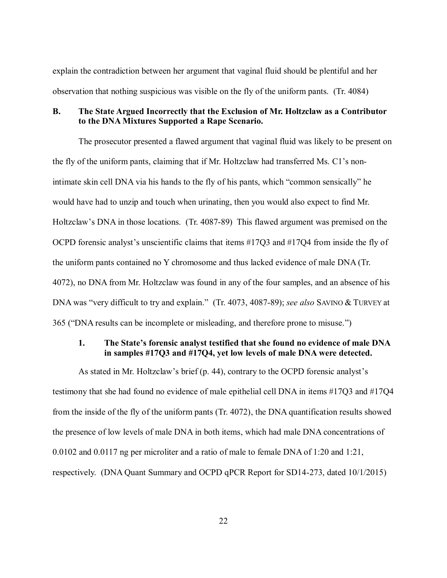explain the contradiction between her argument that vaginal fluid should be plentiful and her observation that nothing suspicious was visible on the fly of the uniform pants. (Tr. 4084)

### **B. The State Argued Incorrectly that the Exclusion of Mr. Holtzclaw as a Contributor to the DNA Mixtures Supported a Rape Scenario.**

The prosecutor presented a flawed argument that vaginal fluid was likely to be present on the fly of the uniform pants, claiming that if Mr. Holtzclaw had transferred Ms. C1's nonintimate skin cell DNA via his hands to the fly of his pants, which "common sensically" he would have had to unzip and touch when urinating, then you would also expect to find Mr. Holtzclaw's DNA in those locations. (Tr. 4087-89) This flawed argument was premised on the OCPD forensic analyst's unscientific claims that items #17Q3 and #17Q4 from inside the fly of the uniform pants contained no Y chromosome and thus lacked evidence of male DNA (Tr. 4072), no DNA from Mr. Holtzclaw was found in any of the four samples, and an absence of his DNA was "very difficult to try and explain." (Tr. 4073, 4087-89); *see also* SAVINO & TURVEY at 365 ("DNA results can be incomplete or misleading, and therefore prone to misuse.")

### **1. The State's forensic analyst testified that she found no evidence of male DNA in samples #17Q3 and #17Q4, yet low levels of male DNA were detected.**

As stated in Mr. Holtzclaw's brief (p. 44), contrary to the OCPD forensic analyst's testimony that she had found no evidence of male epithelial cell DNA in items #17Q3 and #17Q4 from the inside of the fly of the uniform pants (Tr. 4072), the DNA quantification results showed the presence of low levels of male DNA in both items, which had male DNA concentrations of 0.0102 and 0.0117 ng per microliter and a ratio of male to female DNA of 1:20 and 1:21, respectively. (DNA Quant Summary and OCPD qPCR Report for SD14-273, dated 10/1/2015)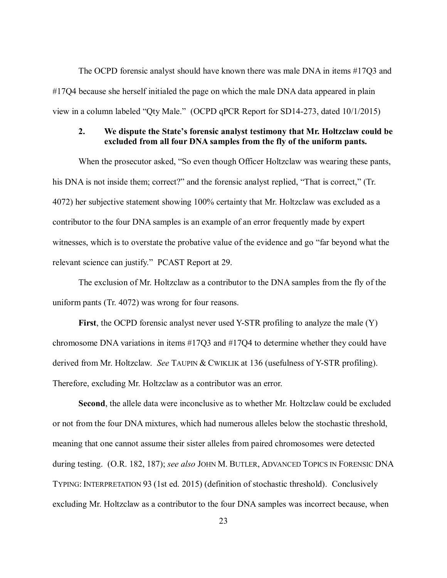The OCPD forensic analyst should have known there was male DNA in items #17Q3 and #17Q4 because she herself initialed the page on which the male DNA data appeared in plain view in a column labeled "Qty Male." (OCPD qPCR Report for SD14-273, dated 10/1/2015)

#### **2. We dispute the State's forensic analyst testimony that Mr. Holtzclaw could be excluded from all four DNA samples from the fly of the uniform pants.**

When the prosecutor asked, "So even though Officer Holtzclaw was wearing these pants, his DNA is not inside them; correct?" and the forensic analyst replied, "That is correct," (Tr. 4072) her subjective statement showing 100% certainty that Mr. Holtzclaw was excluded as a contributor to the four DNA samples is an example of an error frequently made by expert witnesses, which is to overstate the probative value of the evidence and go "far beyond what the relevant science can justify." PCAST Report at 29.

The exclusion of Mr. Holtzclaw as a contributor to the DNA samples from the fly of the uniform pants (Tr. 4072) was wrong for four reasons.

**First**, the OCPD forensic analyst never used Y-STR profiling to analyze the male (Y) chromosome DNA variations in items #17Q3 and #17Q4 to determine whether they could have derived from Mr. Holtzclaw. *See* TAUPIN & CWIKLIK at 136 (usefulness of Y-STR profiling). Therefore, excluding Mr. Holtzclaw as a contributor was an error.

**Second**, the allele data were inconclusive as to whether Mr. Holtzclaw could be excluded or not from the four DNA mixtures, which had numerous alleles below the stochastic threshold, meaning that one cannot assume their sister alleles from paired chromosomes were detected during testing. (O.R. 182, 187); *see also* JOHN M. BUTLER, ADVANCED TOPICS IN FORENSIC DNA TYPING: INTERPRETATION 93 (1st ed. 2015) (definition of stochastic threshold). Conclusively excluding Mr. Holtzclaw as a contributor to the four DNA samples was incorrect because, when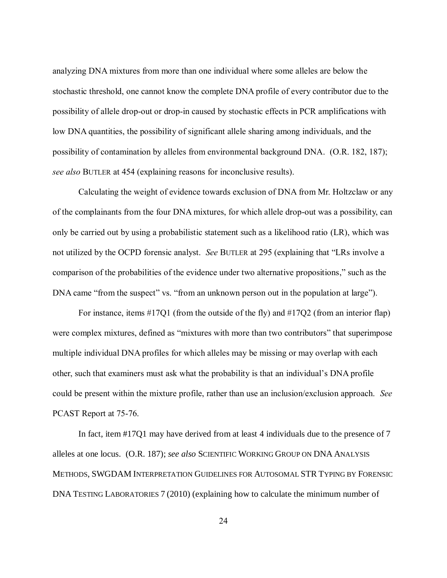analyzing DNA mixtures from more than one individual where some alleles are below the stochastic threshold, one cannot know the complete DNA profile of every contributor due to the possibility of allele drop-out or drop-in caused by stochastic effects in PCR amplifications with low DNA quantities, the possibility of significant allele sharing among individuals, and the possibility of contamination by alleles from environmental background DNA. (O.R. 182, 187); *see also* BUTLER at 454 (explaining reasons for inconclusive results).

Calculating the weight of evidence towards exclusion of DNA from Mr. Holtzclaw or any of the complainants from the four DNA mixtures, for which allele drop-out was a possibility, can only be carried out by using a probabilistic statement such as a likelihood ratio (LR), which was not utilized by the OCPD forensic analyst. *See* BUTLER at 295 (explaining that "LRs involve a comparison of the probabilities of the evidence under two alternative propositions," such as the DNA came "from the suspect" vs. "from an unknown person out in the population at large").

For instance, items #17Q1 (from the outside of the fly) and #17Q2 (from an interior flap) were complex mixtures, defined as "mixtures with more than two contributors" that superimpose multiple individual DNA profiles for which alleles may be missing or may overlap with each other, such that examiners must ask what the probability is that an individual's DNA profile could be present within the mixture profile, rather than use an inclusion/exclusion approach. *See* PCAST Report at 75-76.

In fact, item #17Q1 may have derived from at least 4 individuals due to the presence of 7 alleles at one locus. (O.R. 187); *see also* SCIENTIFIC WORKING GROUP ON DNA ANALYSIS METHODS, SWGDAM INTERPRETATION GUIDELINES FOR AUTOSOMAL STR TYPING BY FORENSIC DNA TESTING LABORATORIES 7 (2010) (explaining how to calculate the minimum number of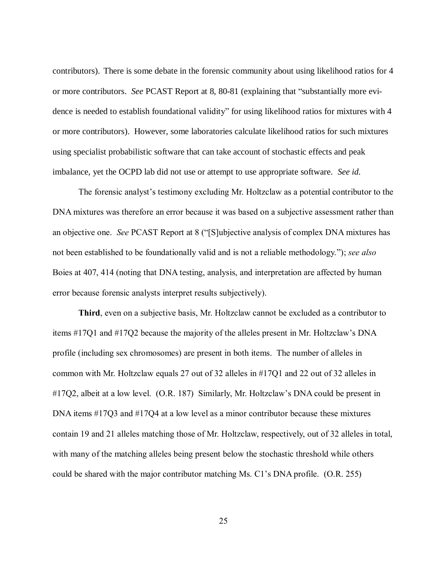contributors). There is some debate in the forensic community about using likelihood ratios for 4 or more contributors. *See* PCAST Report at 8, 80-81 (explaining that "substantially more evidence is needed to establish foundational validity" for using likelihood ratios for mixtures with 4 or more contributors). However, some laboratories calculate likelihood ratios for such mixtures using specialist probabilistic software that can take account of stochastic effects and peak imbalance, yet the OCPD lab did not use or attempt to use appropriate software. *See id.*

The forensic analyst's testimony excluding Mr. Holtzclaw as a potential contributor to the DNA mixtures was therefore an error because it was based on a subjective assessment rather than an objective one. *See* PCAST Report at 8 ("[S]ubjective analysis of complex DNA mixtures has not been established to be foundationally valid and is not a reliable methodology."); *see also* Boies at 407, 414 (noting that DNA testing, analysis, and interpretation are affected by human error because forensic analysts interpret results subjectively).

**Third**, even on a subjective basis, Mr. Holtzclaw cannot be excluded as a contributor to items #17Q1 and #17Q2 because the majority of the alleles present in Mr. Holtzclaw's DNA profile (including sex chromosomes) are present in both items. The number of alleles in common with Mr. Holtzclaw equals 27 out of 32 alleles in #17Q1 and 22 out of 32 alleles in #17Q2, albeit at a low level. (O.R. 187) Similarly, Mr. Holtzclaw's DNA could be present in DNA items #17Q3 and #17Q4 at a low level as a minor contributor because these mixtures contain 19 and 21 alleles matching those of Mr. Holtzclaw, respectively, out of 32 alleles in total, with many of the matching alleles being present below the stochastic threshold while others could be shared with the major contributor matching Ms. C1's DNA profile. (O.R. 255)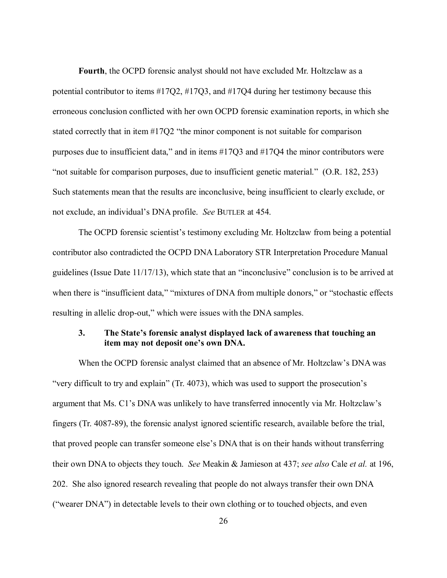**Fourth**, the OCPD forensic analyst should not have excluded Mr. Holtzclaw as a potential contributor to items #17Q2, #17Q3, and #17Q4 during her testimony because this erroneous conclusion conflicted with her own OCPD forensic examination reports, in which she stated correctly that in item #17Q2 "the minor component is not suitable for comparison purposes due to insufficient data," and in items #17Q3 and #17Q4 the minor contributors were "not suitable for comparison purposes, due to insufficient genetic material." (O.R. 182, 253) Such statements mean that the results are inconclusive, being insufficient to clearly exclude, or not exclude, an individual's DNA profile. *See* BUTLER at 454.

The OCPD forensic scientist's testimony excluding Mr. Holtzclaw from being a potential contributor also contradicted the OCPD DNA Laboratory STR Interpretation Procedure Manual guidelines (Issue Date 11/17/13), which state that an "inconclusive" conclusion is to be arrived at when there is "insufficient data," "mixtures of DNA from multiple donors," or "stochastic effects resulting in allelic drop-out," which were issues with the DNA samples.

### **3. The State's forensic analyst displayed lack of awareness that touching an item may not deposit one's own DNA.**

When the OCPD forensic analyst claimed that an absence of Mr. Holtzclaw's DNA was "very difficult to try and explain" (Tr. 4073), which was used to support the prosecution's argument that Ms. C1's DNA was unlikely to have transferred innocently via Mr. Holtzclaw's fingers (Tr. 4087-89), the forensic analyst ignored scientific research, available before the trial, that proved people can transfer someone else's DNA that is on their hands without transferring their own DNA to objects they touch. *See* Meakin & Jamieson at 437; *see also* Cale *et al.* at 196, 202. She also ignored research revealing that people do not always transfer their own DNA ("wearer DNA") in detectable levels to their own clothing or to touched objects, and even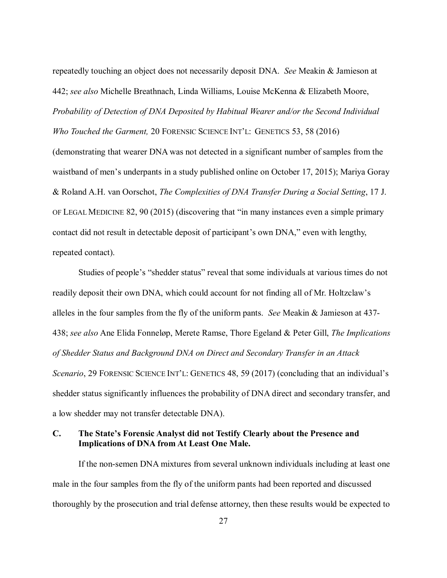repeatedly touching an object does not necessarily deposit DNA. *See* Meakin & Jamieson at 442; *see also* Michelle Breathnach, Linda Williams, Louise McKenna & Elizabeth Moore, *Probability of Detection of DNA Deposited by Habitual Wearer and/or the Second Individual* 

*Who Touched the Garment,* 20 FORENSIC SCIENCE INT'L: GENETICS 53, 58 (2016) (demonstrating that wearer DNA was not detected in a significant number of samples from the waistband of men's underpants in a study published online on October 17, 2015); Mariya Goray & Roland A.H. van Oorschot, *The Complexities of DNA Transfer During a Social Setting*, 17 J. OF LEGAL MEDICINE 82, 90 (2015) (discovering that "in many instances even a simple primary contact did not result in detectable deposit of participant's own DNA," even with lengthy, repeated contact).

Studies of people's "shedder status" reveal that some individuals at various times do not readily deposit their own DNA, which could account for not finding all of Mr. Holtzclaw's alleles in the four samples from the fly of the uniform pants. *See* Meakin & Jamieson at 437- 438; *see also* Ane Elida Fonneløp, Merete Ramse, Thore Egeland & Peter Gill, *The Implications of Shedder Status and Background DNA on Direct and Secondary Transfer in an Attack Scenario*, 29 FORENSIC SCIENCE INT'L: GENETICS 48, 59 (2017) (concluding that an individual's shedder status significantly influences the probability of DNA direct and secondary transfer, and a low shedder may not transfer detectable DNA).

### **C. The State's Forensic Analyst did not Testify Clearly about the Presence and Implications of DNA from At Least One Male.**

If the non-semen DNA mixtures from several unknown individuals including at least one male in the four samples from the fly of the uniform pants had been reported and discussed thoroughly by the prosecution and trial defense attorney, then these results would be expected to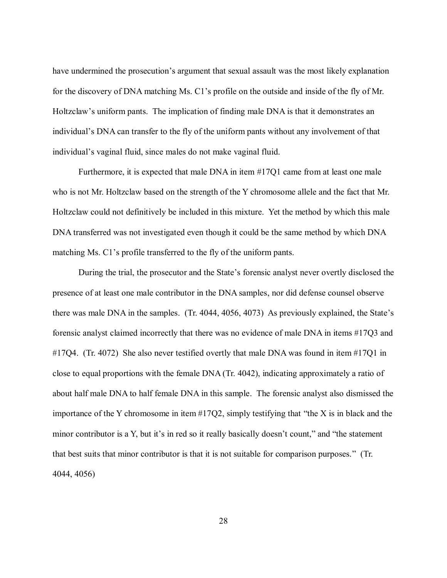have undermined the prosecution's argument that sexual assault was the most likely explanation for the discovery of DNA matching Ms. C1's profile on the outside and inside of the fly of Mr. Holtzclaw's uniform pants. The implication of finding male DNA is that it demonstrates an individual's DNA can transfer to the fly of the uniform pants without any involvement of that individual's vaginal fluid, since males do not make vaginal fluid.

Furthermore, it is expected that male DNA in item #17Q1 came from at least one male who is not Mr. Holtzclaw based on the strength of the Y chromosome allele and the fact that Mr. Holtzclaw could not definitively be included in this mixture. Yet the method by which this male DNA transferred was not investigated even though it could be the same method by which DNA matching Ms. C1's profile transferred to the fly of the uniform pants.

During the trial, the prosecutor and the State's forensic analyst never overtly disclosed the presence of at least one male contributor in the DNA samples, nor did defense counsel observe there was male DNA in the samples. (Tr. 4044, 4056, 4073) As previously explained, the State's forensic analyst claimed incorrectly that there was no evidence of male DNA in items #17Q3 and #17Q4. (Tr. 4072) She also never testified overtly that male DNA was found in item #17Q1 in close to equal proportions with the female DNA (Tr. 4042), indicating approximately a ratio of about half male DNA to half female DNA in this sample. The forensic analyst also dismissed the importance of the Y chromosome in item #17Q2, simply testifying that "the X is in black and the minor contributor is a Y, but it's in red so it really basically doesn't count," and "the statement that best suits that minor contributor is that it is not suitable for comparison purposes." (Tr. 4044, 4056)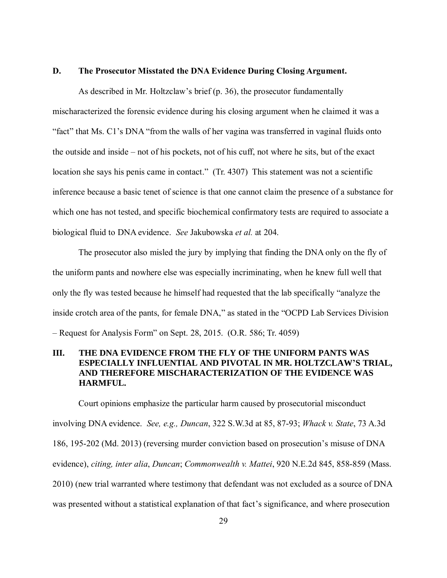#### **D. The Prosecutor Misstated the DNA Evidence During Closing Argument.**

As described in Mr. Holtzclaw's brief (p. 36), the prosecutor fundamentally mischaracterized the forensic evidence during his closing argument when he claimed it was a "fact" that Ms. C1's DNA "from the walls of her vagina was transferred in vaginal fluids onto the outside and inside – not of his pockets, not of his cuff, not where he sits, but of the exact location she says his penis came in contact." (Tr. 4307) This statement was not a scientific inference because a basic tenet of science is that one cannot claim the presence of a substance for which one has not tested, and specific biochemical confirmatory tests are required to associate a biological fluid to DNA evidence. *See* Jakubowska *et al.* at 204.

The prosecutor also misled the jury by implying that finding the DNA only on the fly of the uniform pants and nowhere else was especially incriminating, when he knew full well that only the fly was tested because he himself had requested that the lab specifically "analyze the inside crotch area of the pants, for female DNA," as stated in the "OCPD Lab Services Division – Request for Analysis Form" on Sept. 28, 2015. (O.R. 586; Tr. 4059)

### **III. THE DNA EVIDENCE FROM THE FLY OF THE UNIFORM PANTS WAS ESPECIALLY INFLUENTIAL AND PIVOTAL IN MR. HOLTZCLAW'S TRIAL, AND THEREFORE MISCHARACTERIZATION OF THE EVIDENCE WAS HARMFUL.**

Court opinions emphasize the particular harm caused by prosecutorial misconduct involving DNA evidence. *See, e.g., Duncan*, 322 S.W.3d at 85, 87-93; *Whack v. State*, 73 A.3d 186, 195-202 (Md. 2013) (reversing murder conviction based on prosecution's misuse of DNA evidence), *citing, inter alia*, *Duncan*; *Commonwealth v. Mattei*, 920 N.E.2d 845, 858-859 (Mass. 2010) (new trial warranted where testimony that defendant was not excluded as a source of DNA was presented without a statistical explanation of that fact's significance, and where prosecution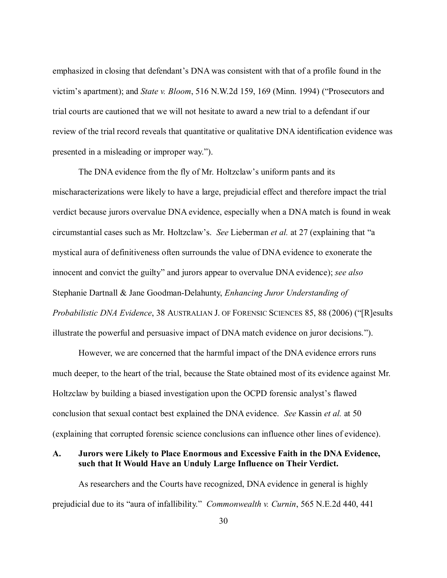emphasized in closing that defendant's DNA was consistent with that of a profile found in the victim's apartment); and *State v. Bloom*, 516 N.W.2d 159, 169 (Minn. 1994) ("Prosecutors and trial courts are cautioned that we will not hesitate to award a new trial to a defendant if our review of the trial record reveals that quantitative or qualitative DNA identification evidence was presented in a misleading or improper way.").

The DNA evidence from the fly of Mr. Holtzclaw's uniform pants and its mischaracterizations were likely to have a large, prejudicial effect and therefore impact the trial verdict because jurors overvalue DNA evidence, especially when a DNA match is found in weak circumstantial cases such as Mr. Holtzclaw's. *See* Lieberman *et al.* at 27 (explaining that "a mystical aura of definitiveness often surrounds the value of DNA evidence to exonerate the innocent and convict the guilty" and jurors appear to overvalue DNA evidence); *see also* Stephanie Dartnall & Jane Goodman-Delahunty, *Enhancing Juror Understanding of Probabilistic DNA Evidence*, 38 AUSTRALIAN J. OF FORENSIC SCIENCES 85, 88 (2006) ("[R]esults illustrate the powerful and persuasive impact of DNA match evidence on juror decisions.").

However, we are concerned that the harmful impact of the DNA evidence errors runs much deeper, to the heart of the trial, because the State obtained most of its evidence against Mr. Holtzclaw by building a biased investigation upon the OCPD forensic analyst's flawed conclusion that sexual contact best explained the DNA evidence. *See* Kassin *et al.* at 50 (explaining that corrupted forensic science conclusions can influence other lines of evidence).

## **A. Jurors were Likely to Place Enormous and Excessive Faith in the DNA Evidence, such that It Would Have an Unduly Large Influence on Their Verdict.**

As researchers and the Courts have recognized, DNA evidence in general is highly prejudicial due to its "aura of infallibility." *Commonwealth v. Curnin*, 565 N.E.2d 440, 441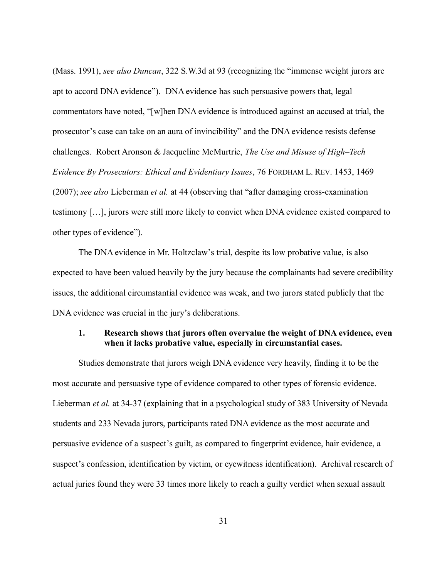(Mass. 1991), *see also Duncan*, 322 S.W.3d at 93 (recognizing the "immense weight jurors are apt to accord DNA evidence"). DNA evidence has such persuasive powers that, legal commentators have noted, "[w]hen DNA evidence is introduced against an accused at trial, the prosecutor's case can take on an aura of invincibility" and the DNA evidence resists defense challenges. Robert Aronson & Jacqueline McMurtrie, *The Use and Misuse of High–Tech Evidence By Prosecutors: Ethical and Evidentiary Issues*, 76 FORDHAM L. REV. 1453, 1469 (2007); *see also* Lieberman *et al.* at 44 (observing that "after damaging cross-examination testimony […], jurors were still more likely to convict when DNA evidence existed compared to other types of evidence").

The DNA evidence in Mr. Holtzclaw's trial, despite its low probative value, is also expected to have been valued heavily by the jury because the complainants had severe credibility issues, the additional circumstantial evidence was weak, and two jurors stated publicly that the DNA evidence was crucial in the jury's deliberations.

#### **1. Research shows that jurors often overvalue the weight of DNA evidence, even when it lacks probative value, especially in circumstantial cases.**

Studies demonstrate that jurors weigh DNA evidence very heavily, finding it to be the most accurate and persuasive type of evidence compared to other types of forensic evidence. Lieberman *et al.* at 34-37 (explaining that in a psychological study of 383 University of Nevada students and 233 Nevada jurors, participants rated DNA evidence as the most accurate and persuasive evidence of a suspect's guilt, as compared to fingerprint evidence, hair evidence, a suspect's confession, identification by victim, or eyewitness identification). Archival research of actual juries found they were 33 times more likely to reach a guilty verdict when sexual assault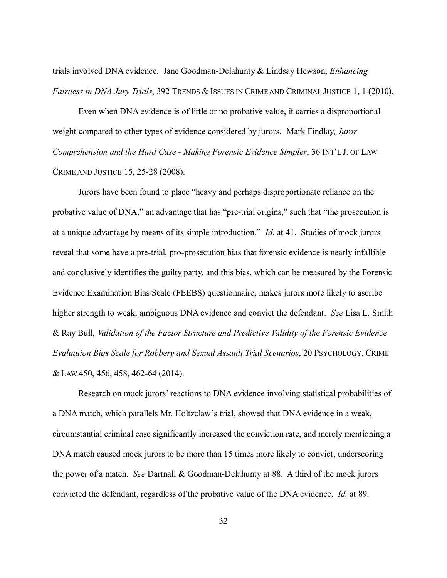trials involved DNA evidence. Jane Goodman-Delahunty & Lindsay Hewson, *Enhancing Fairness in DNA Jury Trials*, 392 TRENDS & ISSUES IN CRIME AND CRIMINAL JUSTICE 1, 1 (2010).

Even when DNA evidence is of little or no probative value, it carries a disproportional weight compared to other types of evidence considered by jurors. Mark Findlay, *Juror Comprehension and the Hard Case - Making Forensic Evidence Simpler*, 36 INT'L J. OF LAW CRIME AND JUSTICE 15, 25-28 (2008).

Jurors have been found to place "heavy and perhaps disproportionate reliance on the probative value of DNA," an advantage that has "pre-trial origins," such that "the prosecution is at a unique advantage by means of its simple introduction." *Id.* at 41. Studies of mock jurors reveal that some have a pre-trial, pro-prosecution bias that forensic evidence is nearly infallible and conclusively identifies the guilty party, and this bias, which can be measured by the Forensic Evidence Examination Bias Scale (FEEBS) questionnaire, makes jurors more likely to ascribe higher strength to weak, ambiguous DNA evidence and convict the defendant. *See* Lisa L. Smith & Ray Bull, *Validation of the Factor Structure and Predictive Validity of the Forensic Evidence Evaluation Bias Scale for Robbery and Sexual Assault Trial Scenarios*, 20 PSYCHOLOGY, CRIME & LAW 450, 456, 458, 462-64 (2014).

Research on mock jurors' reactions to DNA evidence involving statistical probabilities of a DNA match, which parallels Mr. Holtzclaw's trial, showed that DNA evidence in a weak, circumstantial criminal case significantly increased the conviction rate, and merely mentioning a DNA match caused mock jurors to be more than 15 times more likely to convict, underscoring the power of a match. *See* Dartnall & Goodman-Delahunty at 88. A third of the mock jurors convicted the defendant, regardless of the probative value of the DNA evidence. *Id.* at 89.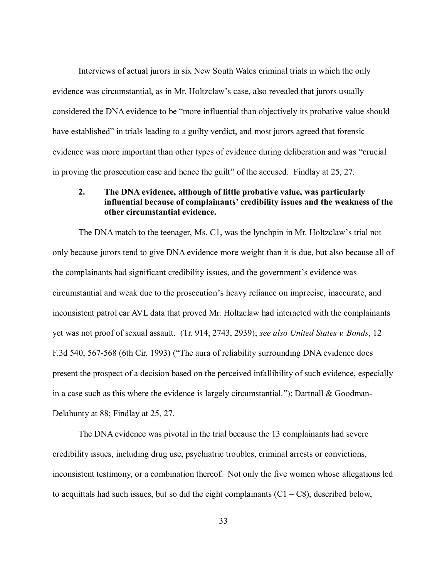Interviews of actual jurors in six New South Wales criminal trials in which the only evidence was circumstantial, as in Mr. Holtzclaw's case, also revealed that jurors usually considered the DNA evidence to be "more influential than objectively its probative value should have established" in trials leading to a guilty verdict, and most jurors agreed that forensic evidence was more important than other types of evidence during deliberation and was "crucial in proving the prosecution case and hence the guilt" of the accused. Findlay at 25, 27.

### **2. The DNA evidence, although of little probative value, was particularly influential because of complainants' credibility issues and the weakness of the other circumstantial evidence.**

The DNA match to the teenager, Ms. C1, was the lynchpin in Mr. Holtzclaw's trial not only because jurors tend to give DNA evidence more weight than it is due, but also because all of the complainants had significant credibility issues, and the government's evidence was circumstantial and weak due to the prosecution's heavy reliance on imprecise, inaccurate, and inconsistent patrol car AVL data that proved Mr. Holtzclaw had interacted with the complainants yet was not proof of sexual assault. (Tr. 914, 2743, 2939); *see also United States v. Bonds*, 12 F.3d 540, 567-568 (6th Cir. 1993) ("The aura of reliability surrounding DNA evidence does present the prospect of a decision based on the perceived infallibility of such evidence, especially in a case such as this where the evidence is largely circumstantial."); Dartnall & Goodman-Delahunty at 88; Findlay at 25, 27.

The DNA evidence was pivotal in the trial because the 13 complainants had severe credibility issues, including drug use, psychiatric troubles, criminal arrests or convictions, inconsistent testimony, or a combination thereof. Not only the five women whose allegations led to acquittals had such issues, but so did the eight complainants  $(C1 - C8)$ , described below,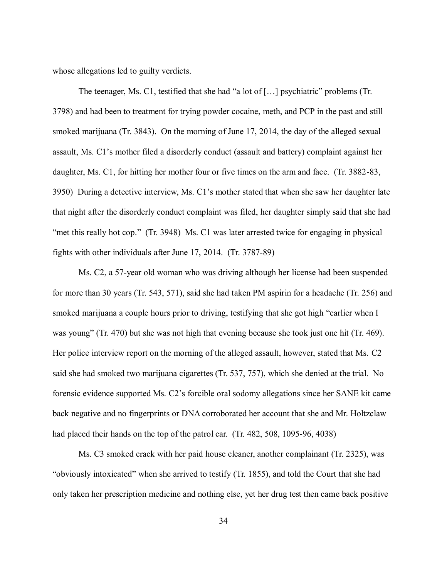whose allegations led to guilty verdicts.

The teenager, Ms. C1, testified that she had "a lot of [...] psychiatric" problems (Tr. 3798) and had been to treatment for trying powder cocaine, meth, and PCP in the past and still smoked marijuana (Tr. 3843). On the morning of June 17, 2014, the day of the alleged sexual assault, Ms. C1's mother filed a disorderly conduct (assault and battery) complaint against her daughter, Ms. C1, for hitting her mother four or five times on the arm and face. (Tr. 3882-83, 3950) During a detective interview, Ms. C1's mother stated that when she saw her daughter late that night after the disorderly conduct complaint was filed, her daughter simply said that she had "met this really hot cop." (Tr. 3948) Ms. C1 was later arrested twice for engaging in physical fights with other individuals after June 17, 2014. (Tr. 3787-89)

Ms. C2, a 57-year old woman who was driving although her license had been suspended for more than 30 years (Tr. 543, 571), said she had taken PM aspirin for a headache (Tr. 256) and smoked marijuana a couple hours prior to driving, testifying that she got high "earlier when I was young" (Tr. 470) but she was not high that evening because she took just one hit (Tr. 469). Her police interview report on the morning of the alleged assault, however, stated that Ms. C2 said she had smoked two marijuana cigarettes (Tr. 537, 757), which she denied at the trial. No forensic evidence supported Ms. C2's forcible oral sodomy allegations since her SANE kit came back negative and no fingerprints or DNA corroborated her account that she and Mr. Holtzclaw had placed their hands on the top of the patrol car. (Tr. 482, 508, 1095-96, 4038)

Ms. C3 smoked crack with her paid house cleaner, another complainant (Tr. 2325), was "obviously intoxicated" when she arrived to testify (Tr. 1855), and told the Court that she had only taken her prescription medicine and nothing else, yet her drug test then came back positive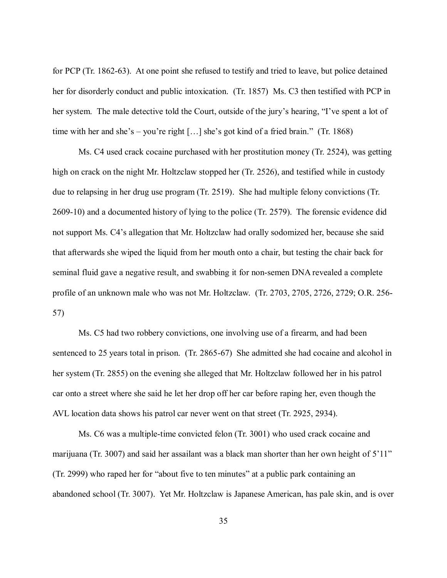for PCP (Tr. 1862-63). At one point she refused to testify and tried to leave, but police detained her for disorderly conduct and public intoxication. (Tr. 1857) Ms. C3 then testified with PCP in her system. The male detective told the Court, outside of the jury's hearing, "I've spent a lot of time with her and she's – you're right […] she's got kind of a fried brain." (Tr. 1868)

Ms. C4 used crack cocaine purchased with her prostitution money (Tr. 2524), was getting high on crack on the night Mr. Holtzclaw stopped her (Tr. 2526), and testified while in custody due to relapsing in her drug use program (Tr. 2519). She had multiple felony convictions (Tr. 2609-10) and a documented history of lying to the police (Tr. 2579). The forensic evidence did not support Ms. C4's allegation that Mr. Holtzclaw had orally sodomized her, because she said that afterwards she wiped the liquid from her mouth onto a chair, but testing the chair back for seminal fluid gave a negative result, and swabbing it for non-semen DNA revealed a complete profile of an unknown male who was not Mr. Holtzclaw. (Tr. 2703, 2705, 2726, 2729; O.R. 256- 57)

Ms. C5 had two robbery convictions, one involving use of a firearm, and had been sentenced to 25 years total in prison. (Tr. 2865-67) She admitted she had cocaine and alcohol in her system (Tr. 2855) on the evening she alleged that Mr. Holtzclaw followed her in his patrol car onto a street where she said he let her drop off her car before raping her, even though the AVL location data shows his patrol car never went on that street (Tr. 2925, 2934).

Ms. C6 was a multiple-time convicted felon (Tr. 3001) who used crack cocaine and marijuana (Tr. 3007) and said her assailant was a black man shorter than her own height of 5'11" (Tr. 2999) who raped her for "about five to ten minutes" at a public park containing an abandoned school (Tr. 3007). Yet Mr. Holtzclaw is Japanese American, has pale skin, and is over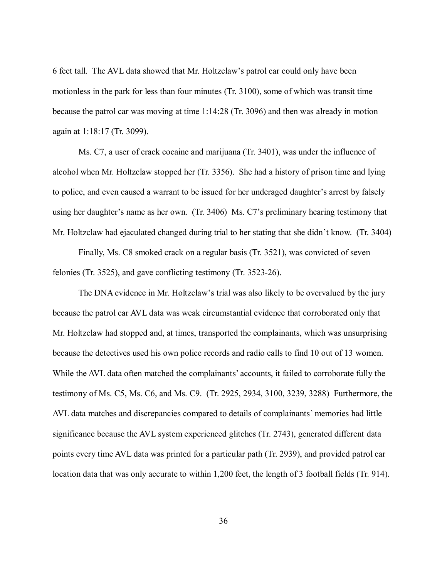6 feet tall. The AVL data showed that Mr. Holtzclaw's patrol car could only have been motionless in the park for less than four minutes (Tr. 3100), some of which was transit time because the patrol car was moving at time 1:14:28 (Tr. 3096) and then was already in motion again at 1:18:17 (Tr. 3099).

Ms. C7, a user of crack cocaine and marijuana (Tr. 3401), was under the influence of alcohol when Mr. Holtzclaw stopped her (Tr. 3356). She had a history of prison time and lying to police, and even caused a warrant to be issued for her underaged daughter's arrest by falsely using her daughter's name as her own. (Tr. 3406) Ms. C7's preliminary hearing testimony that Mr. Holtzclaw had ejaculated changed during trial to her stating that she didn't know. (Tr. 3404)

Finally, Ms. C8 smoked crack on a regular basis (Tr. 3521), was convicted of seven felonies (Tr. 3525), and gave conflicting testimony (Tr. 3523-26).

The DNA evidence in Mr. Holtzclaw's trial was also likely to be overvalued by the jury because the patrol car AVL data was weak circumstantial evidence that corroborated only that Mr. Holtzclaw had stopped and, at times, transported the complainants, which was unsurprising because the detectives used his own police records and radio calls to find 10 out of 13 women. While the AVL data often matched the complainants' accounts, it failed to corroborate fully the testimony of Ms. C5, Ms. C6, and Ms. C9. (Tr. 2925, 2934, 3100, 3239, 3288) Furthermore, the AVL data matches and discrepancies compared to details of complainants' memories had little significance because the AVL system experienced glitches (Tr. 2743), generated different data points every time AVL data was printed for a particular path (Tr. 2939), and provided patrol car location data that was only accurate to within 1,200 feet, the length of 3 football fields (Tr. 914).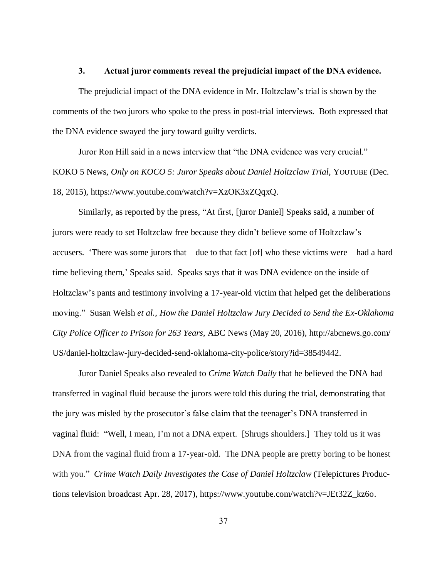#### **3. Actual juror comments reveal the prejudicial impact of the DNA evidence.**

The prejudicial impact of the DNA evidence in Mr. Holtzclaw's trial is shown by the comments of the two jurors who spoke to the press in post-trial interviews. Both expressed that the DNA evidence swayed the jury toward guilty verdicts.

Juror Ron Hill said in a news interview that "the DNA evidence was very crucial." KOKO 5 News, *Only on KOCO 5: Juror Speaks about Daniel Holtzclaw Trial*, YOUTUBE (Dec. 18, 2015), [https://www.youtube.com/watch?v=XzOK3xZQqxQ.](https://www.youtube.com/watch?v=XzOK3xZQqxQ)

Similarly, as reported by the press, "At first, [juror Daniel] Speaks said, a number of jurors were ready to set Holtzclaw free because they didn't believe some of Holtzclaw's accusers. 'There was some jurors that – due to that fact [of] who these victims were – had a hard time believing them,' Speaks said. Speaks says that it was DNA evidence on the inside of Holtzclaw's pants and testimony involving a 17-year-old victim that helped get the deliberations moving." Susan Welsh *et al.*, *How the Daniel Holtzclaw Jury Decided to Send the Ex-Oklahoma City Police Officer to Prison for 263 Years*, ABC News (May 20, 2016), http://abcnews.go.com/ US/daniel-holtzclaw-jury-decided-send-oklahoma-city-police/story?id=38549442.

Juror Daniel Speaks also revealed to *Crime Watch Daily* that he believed the DNA had transferred in vaginal fluid because the jurors were told this during the trial, demonstrating that the jury was misled by the prosecutor's false claim that the teenager's DNA transferred in vaginal fluid: "Well, I mean, I'm not a DNA expert. [Shrugs shoulders.] They told us it was DNA from the vaginal fluid from a 17-year-old. The DNA people are pretty boring to be honest with you." *Crime Watch Daily Investigates the Case of Daniel Holtzclaw* (Telepictures Productions television broadcast Apr. 28, 2017), https://www.youtube.com/watch?v=JEt32Z\_kz6o.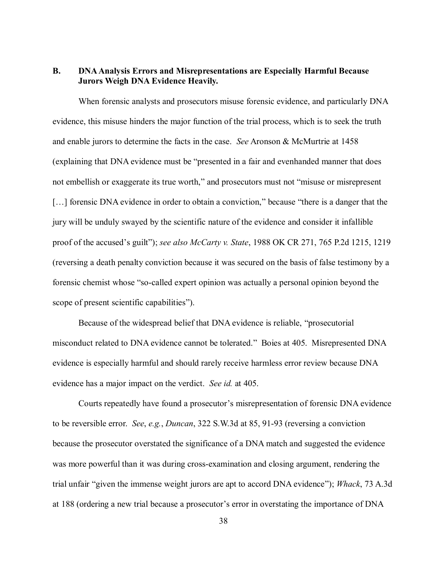#### **B. DNA Analysis Errors and Misrepresentations are Especially Harmful Because Jurors Weigh DNA Evidence Heavily.**

When forensic analysts and prosecutors misuse forensic evidence, and particularly DNA evidence, this misuse hinders the major function of the trial process, which is to seek the truth and enable jurors to determine the facts in the case. *See* Aronson & McMurtrie at 1458 (explaining that DNA evidence must be "presented in a fair and evenhanded manner that does not embellish or exaggerate its true worth," and prosecutors must not "misuse or misrepresent [...] forensic DNA evidence in order to obtain a conviction," because "there is a danger that the jury will be unduly swayed by the scientific nature of the evidence and consider it infallible proof of the accused's guilt"); *see also McCarty v. State*, 1988 OK CR 271, 765 P.2d 1215, 1219 (reversing a death penalty conviction because it was secured on the basis of false testimony by a forensic chemist whose "so-called expert opinion was actually a personal opinion beyond the scope of present scientific capabilities").

Because of the widespread belief that DNA evidence is reliable, "prosecutorial misconduct related to DNA evidence cannot be tolerated." Boies at 405. Misrepresented DNA evidence is especially harmful and should rarely receive harmless error review because DNA evidence has a major impact on the verdict. *See id.* at 405.

Courts repeatedly have found a prosecutor's misrepresentation of forensic DNA evidence to be reversible error. *See*, *e.g.*, *Duncan*, 322 S.W.3d at 85, 91-93 (reversing a conviction because the prosecutor overstated the significance of a DNA match and suggested the evidence was more powerful than it was during cross-examination and closing argument, rendering the trial unfair "given the immense weight jurors are apt to accord DNA evidence"); *Whack*, 73 A.3d at 188 (ordering a new trial because a prosecutor's error in overstating the importance of DNA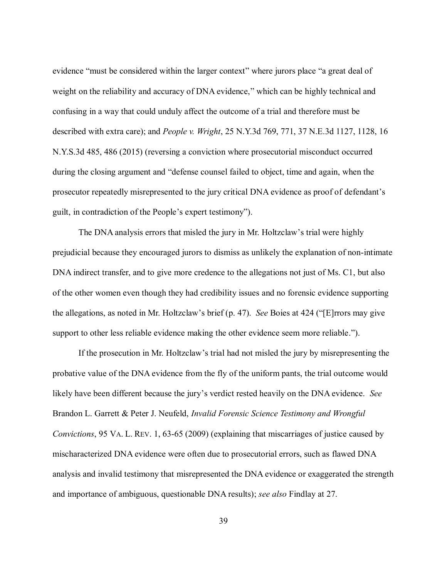evidence "must be considered within the larger context" where jurors place "a great deal of weight on the reliability and accuracy of DNA evidence," which can be highly technical and confusing in a way that could unduly affect the outcome of a trial and therefore must be described with extra care); and *People v. Wright*, 25 N.Y.3d 769, 771, 37 N.E.3d 1127, 1128, 16 N.Y.S.3d 485, 486 (2015) (reversing a conviction where prosecutorial misconduct occurred during the closing argument and "defense counsel failed to object, time and again, when the prosecutor repeatedly misrepresented to the jury critical DNA evidence as proof of defendant's guilt, in contradiction of the People's expert testimony").

The DNA analysis errors that misled the jury in Mr. Holtzclaw's trial were highly prejudicial because they encouraged jurors to dismiss as unlikely the explanation of non-intimate DNA indirect transfer, and to give more credence to the allegations not just of Ms. C1, but also of the other women even though they had credibility issues and no forensic evidence supporting the allegations, as noted in Mr. Holtzclaw's brief (p. 47). *See* Boies at 424 ("[E]rrors may give support to other less reliable evidence making the other evidence seem more reliable.").

If the prosecution in Mr. Holtzclaw's trial had not misled the jury by misrepresenting the probative value of the DNA evidence from the fly of the uniform pants, the trial outcome would likely have been different because the jury's verdict rested heavily on the DNA evidence. *See* Brandon L. Garrett & Peter J. Neufeld, *Invalid Forensic Science Testimony and Wrongful Convictions*, 95 VA. L. REV. 1, 63-65 (2009) (explaining that miscarriages of justice caused by mischaracterized DNA evidence were often due to prosecutorial errors, such as flawed DNA analysis and invalid testimony that misrepresented the DNA evidence or exaggerated the strength and importance of ambiguous, questionable DNA results); *see also* Findlay at 27.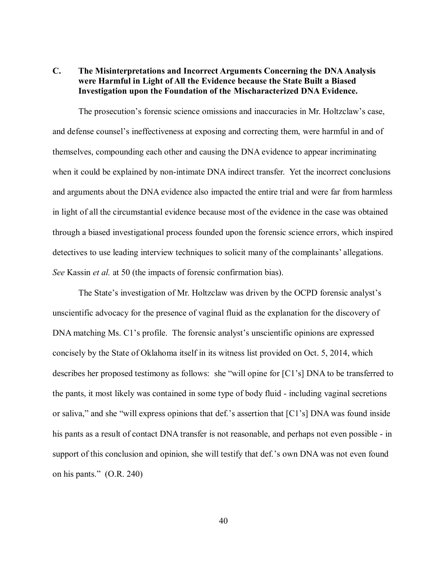### **C. The Misinterpretations and Incorrect Arguments Concerning the DNA Analysis were Harmful in Light of All the Evidence because the State Built a Biased Investigation upon the Foundation of the Mischaracterized DNA Evidence.**

The prosecution's forensic science omissions and inaccuracies in Mr. Holtzclaw's case, and defense counsel's ineffectiveness at exposing and correcting them, were harmful in and of themselves, compounding each other and causing the DNA evidence to appear incriminating when it could be explained by non-intimate DNA indirect transfer. Yet the incorrect conclusions and arguments about the DNA evidence also impacted the entire trial and were far from harmless in light of all the circumstantial evidence because most of the evidence in the case was obtained through a biased investigational process founded upon the forensic science errors, which inspired detectives to use leading interview techniques to solicit many of the complainants' allegations. *See* Kassin *et al.* at 50 (the impacts of forensic confirmation bias).

The State's investigation of Mr. Holtzclaw was driven by the OCPD forensic analyst's unscientific advocacy for the presence of vaginal fluid as the explanation for the discovery of DNA matching Ms. C1's profile. The forensic analyst's unscientific opinions are expressed concisely by the State of Oklahoma itself in its witness list provided on Oct. 5, 2014, which describes her proposed testimony as follows: she "will opine for [C1's] DNA to be transferred to the pants, it most likely was contained in some type of body fluid - including vaginal secretions or saliva," and she "will express opinions that def.'s assertion that [C1's] DNA was found inside his pants as a result of contact DNA transfer is not reasonable, and perhaps not even possible - in support of this conclusion and opinion, she will testify that def.'s own DNA was not even found on his pants." (O.R. 240)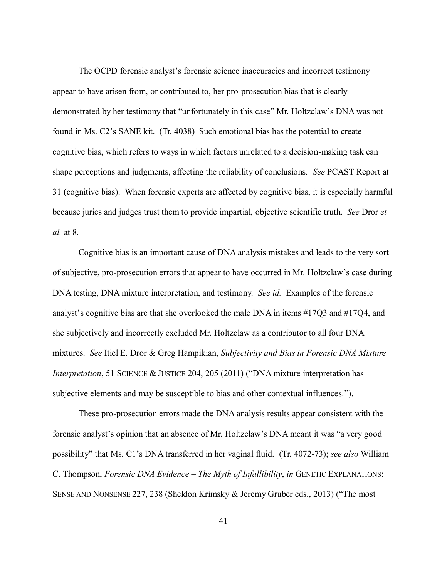The OCPD forensic analyst's forensic science inaccuracies and incorrect testimony appear to have arisen from, or contributed to, her pro-prosecution bias that is clearly demonstrated by her testimony that "unfortunately in this case" Mr. Holtzclaw's DNA was not found in Ms. C2's SANE kit. (Tr. 4038) Such emotional bias has the potential to create cognitive bias, which refers to ways in which factors unrelated to a decision-making task can shape perceptions and judgments, affecting the reliability of conclusions. *See* PCAST Report at 31 (cognitive bias). When forensic experts are affected by cognitive bias, it is especially harmful because juries and judges trust them to provide impartial, objective scientific truth. *See* Dror *et al.* at 8.

 Cognitive bias is an important cause of DNA analysis mistakes and leads to the very sort of subjective, pro-prosecution errors that appear to have occurred in Mr. Holtzclaw's case during DNA testing, DNA mixture interpretation, and testimony. *See id.* Examples of the forensic analyst's cognitive bias are that she overlooked the male DNA in items #17Q3 and #17Q4, and she subjectively and incorrectly excluded Mr. Holtzclaw as a contributor to all four DNA mixtures. *See* Itiel E. Dror & Greg Hampikian, *Subjectivity and Bias in Forensic DNA Mixture Interpretation*, 51 SCIENCE & JUSTICE 204, 205 (2011) ("DNA mixture interpretation has subjective elements and may be susceptible to bias and other contextual influences.").

These pro-prosecution errors made the DNA analysis results appear consistent with the forensic analyst's opinion that an absence of Mr. Holtzclaw's DNA meant it was "a very good possibility" that Ms. C1's DNA transferred in her vaginal fluid. (Tr. 4072-73); *see also* William C. Thompson, *Forensic DNA Evidence – The Myth of Infallibility*, *in* GENETIC EXPLANATIONS: SENSE AND NONSENSE 227, 238 (Sheldon Krimsky & Jeremy Gruber eds., 2013) ("The most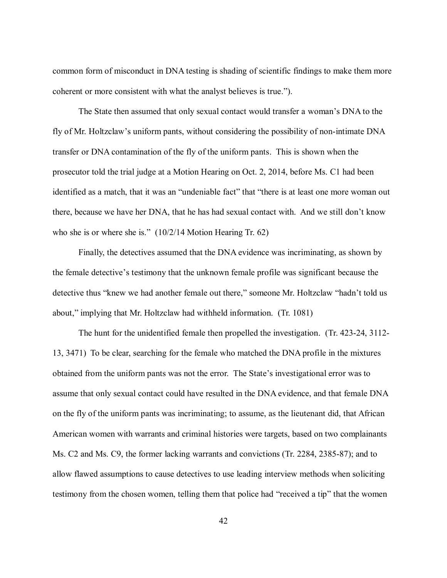common form of misconduct in DNA testing is shading of scientific findings to make them more coherent or more consistent with what the analyst believes is true.").

The State then assumed that only sexual contact would transfer a woman's DNA to the fly of Mr. Holtzclaw's uniform pants, without considering the possibility of non-intimate DNA transfer or DNA contamination of the fly of the uniform pants. This is shown when the prosecutor told the trial judge at a Motion Hearing on Oct. 2, 2014, before Ms. C1 had been identified as a match, that it was an "undeniable fact" that "there is at least one more woman out there, because we have her DNA, that he has had sexual contact with. And we still don't know who she is or where she is."  $(10/2/14 \text{ Motion Hearing Tr. } 62)$ 

Finally, the detectives assumed that the DNA evidence was incriminating, as shown by the female detective's testimony that the unknown female profile was significant because the detective thus "knew we had another female out there," someone Mr. Holtzclaw "hadn't told us about," implying that Mr. Holtzclaw had withheld information. (Tr. 1081)

The hunt for the unidentified female then propelled the investigation. (Tr. 423-24, 3112- 13, 3471) To be clear, searching for the female who matched the DNA profile in the mixtures obtained from the uniform pants was not the error. The State's investigational error was to assume that only sexual contact could have resulted in the DNA evidence, and that female DNA on the fly of the uniform pants was incriminating; to assume, as the lieutenant did, that African American women with warrants and criminal histories were targets, based on two complainants Ms. C2 and Ms. C9, the former lacking warrants and convictions (Tr. 2284, 2385-87); and to allow flawed assumptions to cause detectives to use leading interview methods when soliciting testimony from the chosen women, telling them that police had "received a tip" that the women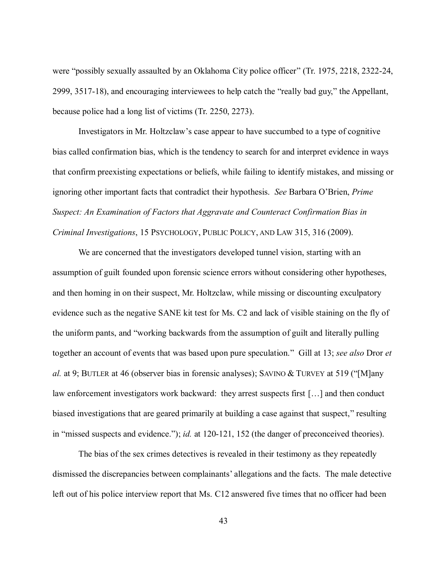were "possibly sexually assaulted by an Oklahoma City police officer" (Tr. 1975, 2218, 2322-24, 2999, 3517-18), and encouraging interviewees to help catch the "really bad guy," the Appellant, because police had a long list of victims (Tr. 2250, 2273).

Investigators in Mr. Holtzclaw's case appear to have succumbed to a type of cognitive bias called confirmation bias, which is the tendency to search for and interpret evidence in ways that confirm preexisting expectations or beliefs, while failing to identify mistakes, and missing or ignoring other important facts that contradict their hypothesis. *See* Barbara O'Brien, *Prime Suspect: An Examination of Factors that Aggravate and Counteract Confirmation Bias in Criminal Investigations*, 15 PSYCHOLOGY, PUBLIC POLICY, AND LAW 315, 316 (2009).

We are concerned that the investigators developed tunnel vision, starting with an assumption of guilt founded upon forensic science errors without considering other hypotheses, and then homing in on their suspect, Mr. Holtzclaw, while missing or discounting exculpatory evidence such as the negative SANE kit test for Ms. C2 and lack of visible staining on the fly of the uniform pants, and "working backwards from the assumption of guilt and literally pulling together an account of events that was based upon pure speculation." Gill at 13; *see also* Dror *et al.* at 9; BUTLER at 46 (observer bias in forensic analyses); SAVINO & TURVEY at 519 ("[M]any law enforcement investigators work backward: they arrest suspects first […] and then conduct biased investigations that are geared primarily at building a case against that suspect," resulting in "missed suspects and evidence."); *id.* at 120-121, 152 (the danger of preconceived theories).

The bias of the sex crimes detectives is revealed in their testimony as they repeatedly dismissed the discrepancies between complainants' allegations and the facts. The male detective left out of his police interview report that Ms. C12 answered five times that no officer had been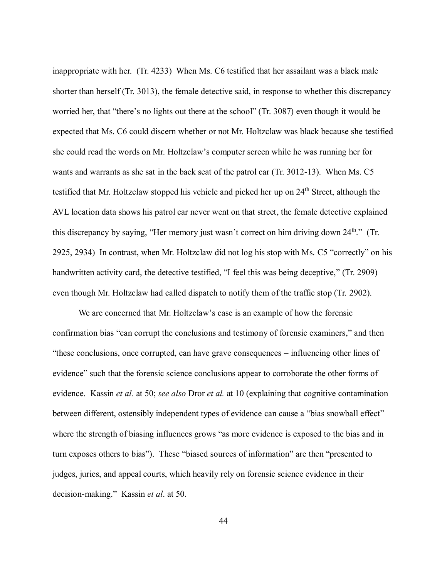inappropriate with her. (Tr. 4233) When Ms. C6 testified that her assailant was a black male shorter than herself (Tr. 3013), the female detective said, in response to whether this discrepancy worried her, that "there's no lights out there at the school" (Tr. 3087) even though it would be expected that Ms. C6 could discern whether or not Mr. Holtzclaw was black because she testified she could read the words on Mr. Holtzclaw's computer screen while he was running her for wants and warrants as she sat in the back seat of the patrol car (Tr. 3012-13). When Ms. C5 testified that Mr. Holtzclaw stopped his vehicle and picked her up on 24<sup>th</sup> Street, although the AVL location data shows his patrol car never went on that street, the female detective explained this discrepancy by saying, "Her memory just wasn't correct on him driving down 24<sup>th</sup>." (Tr. 2925, 2934) In contrast, when Mr. Holtzclaw did not log his stop with Ms. C5 "correctly" on his handwritten activity card, the detective testified, "I feel this was being deceptive," (Tr. 2909) even though Mr. Holtzclaw had called dispatch to notify them of the traffic stop (Tr. 2902).

We are concerned that Mr. Holtzclaw's case is an example of how the forensic confirmation bias "can corrupt the conclusions and testimony of forensic examiners," and then "these conclusions, once corrupted, can have grave consequences – influencing other lines of evidence" such that the forensic science conclusions appear to corroborate the other forms of evidence. Kassin *et al.* at 50; *see also* Dror *et al.* at 10 (explaining that cognitive contamination between different, ostensibly independent types of evidence can cause a "bias snowball effect" where the strength of biasing influences grows "as more evidence is exposed to the bias and in turn exposes others to bias"). These "biased sources of information" are then "presented to judges, juries, and appeal courts, which heavily rely on forensic science evidence in their decision-making." Kassin *et al*. at 50.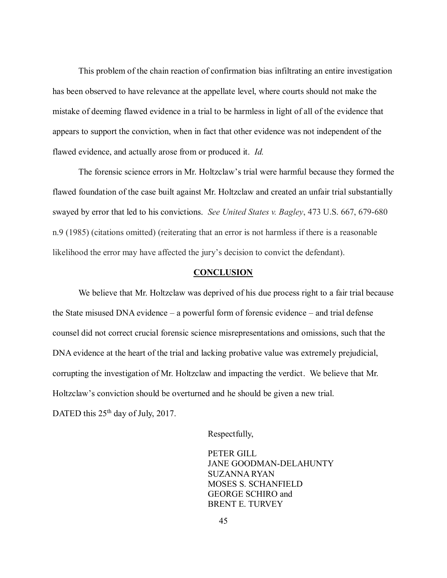This problem of the chain reaction of confirmation bias infiltrating an entire investigation has been observed to have relevance at the appellate level, where courts should not make the mistake of deeming flawed evidence in a trial to be harmless in light of all of the evidence that appears to support the conviction, when in fact that other evidence was not independent of the flawed evidence, and actually arose from or produced it. *Id.*

The forensic science errors in Mr. Holtzclaw's trial were harmful because they formed the flawed foundation of the case built against Mr. Holtzclaw and created an unfair trial substantially swayed by error that led to his convictions. *See United States v. Bagley*, 473 U.S. 667, 679-680 n.9 (1985) (citations omitted) (reiterating that an error is not harmless if there is a reasonable likelihood the error may have affected the jury's decision to convict the defendant).

#### **CONCLUSION**

We believe that Mr. Holtzclaw was deprived of his due process right to a fair trial because the State misused DNA evidence – a powerful form of forensic evidence – and trial defense counsel did not correct crucial forensic science misrepresentations and omissions, such that the DNA evidence at the heart of the trial and lacking probative value was extremely prejudicial, corrupting the investigation of Mr. Holtzclaw and impacting the verdict. We believe that Mr. Holtzclaw's conviction should be overturned and he should be given a new trial. DATED this  $25<sup>th</sup>$  day of July, 2017.

Respectfully,

PETER GILL JANE GOODMAN-DELAHUNTY SUZANNA RYAN MOSES S. SCHANFIELD GEORGE SCHIRO and BRENT E. TURVEY